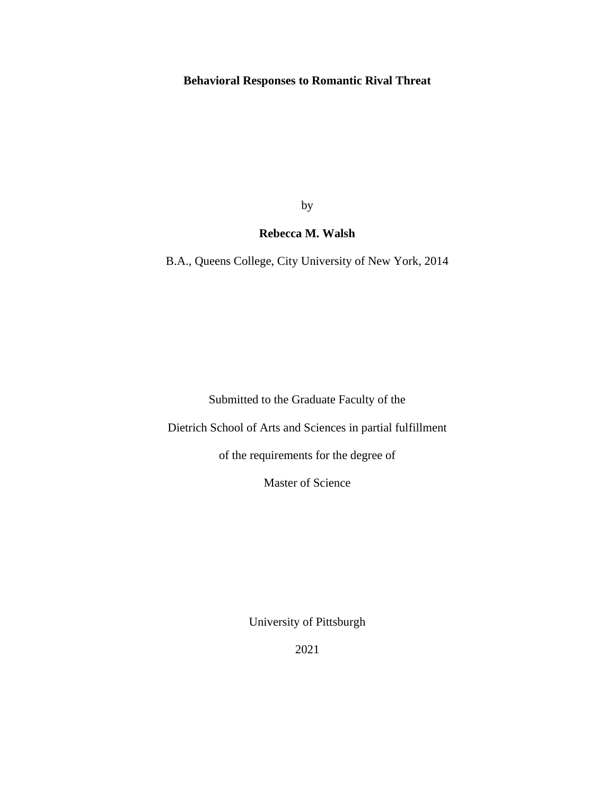# **Behavioral Responses to Romantic Rival Threat**

by

# **Rebecca M. Walsh**

B.A., Queens College, City University of New York, 2014

Submitted to the Graduate Faculty of the

Dietrich School of Arts and Sciences in partial fulfillment

of the requirements for the degree of

Master of Science

University of Pittsburgh

2021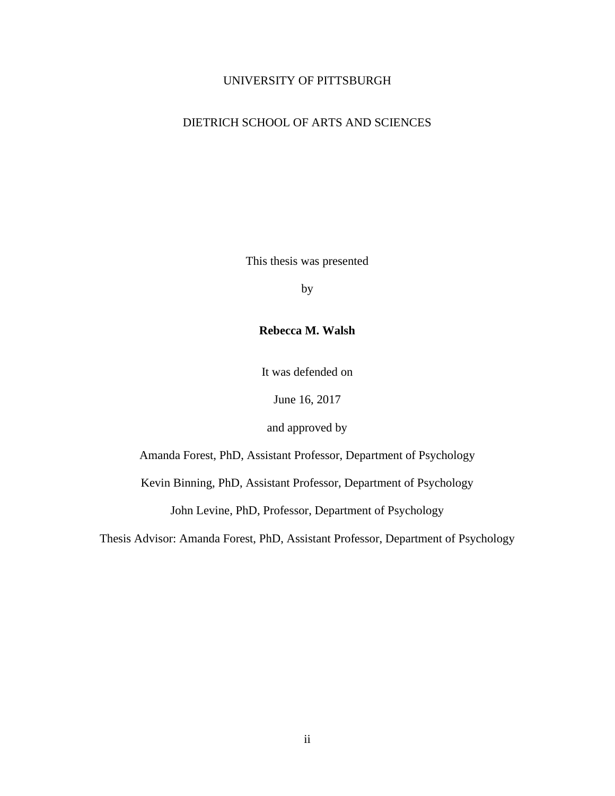### UNIVERSITY OF PITTSBURGH

## DIETRICH SCHOOL OF ARTS AND SCIENCES

This thesis was presented

by

### **Rebecca M. Walsh**

It was defended on

June 16, 2017

and approved by

Amanda Forest, PhD, Assistant Professor, Department of Psychology

Kevin Binning, PhD, Assistant Professor, Department of Psychology

John Levine, PhD, Professor, Department of Psychology

Thesis Advisor: Amanda Forest, PhD, Assistant Professor, Department of Psychology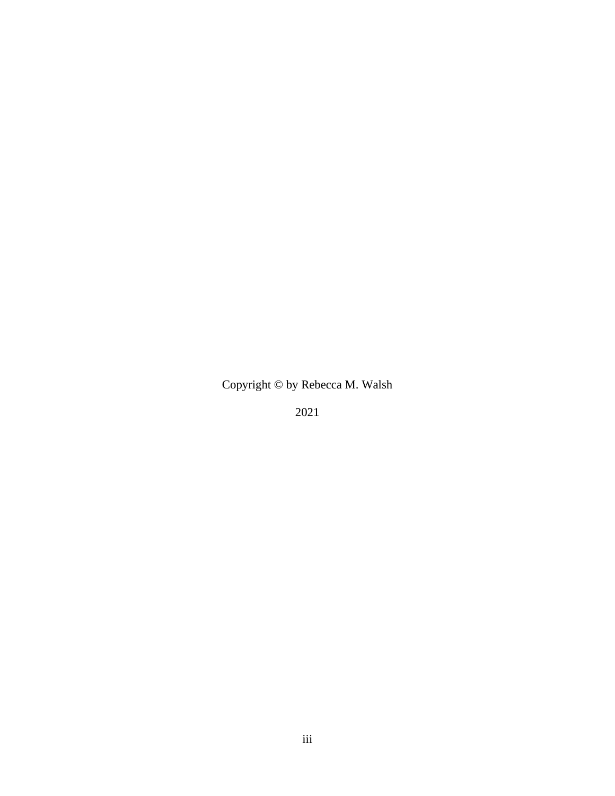Copyright © by Rebecca M. Walsh

2021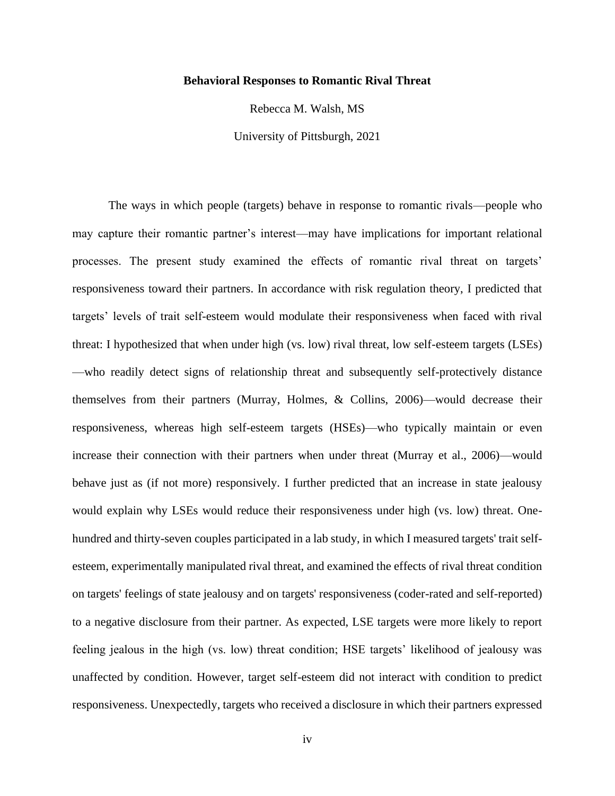#### **Behavioral Responses to Romantic Rival Threat**

Rebecca M. Walsh, MS

University of Pittsburgh, 2021

The ways in which people (targets) behave in response to romantic rivals—people who may capture their romantic partner's interest—may have implications for important relational processes. The present study examined the effects of romantic rival threat on targets' responsiveness toward their partners. In accordance with risk regulation theory, I predicted that targets' levels of trait self-esteem would modulate their responsiveness when faced with rival threat: I hypothesized that when under high (vs. low) rival threat, low self-esteem targets (LSEs) —who readily detect signs of relationship threat and subsequently self-protectively distance themselves from their partners (Murray, Holmes, & Collins, 2006)—would decrease their responsiveness, whereas high self-esteem targets (HSEs)—who typically maintain or even increase their connection with their partners when under threat (Murray et al., 2006)—would behave just as (if not more) responsively. I further predicted that an increase in state jealousy would explain why LSEs would reduce their responsiveness under high (vs. low) threat. Onehundred and thirty-seven couples participated in a lab study, in which I measured targets' trait selfesteem, experimentally manipulated rival threat, and examined the effects of rival threat condition on targets' feelings of state jealousy and on targets' responsiveness (coder-rated and self-reported) to a negative disclosure from their partner. As expected, LSE targets were more likely to report feeling jealous in the high (vs. low) threat condition; HSE targets' likelihood of jealousy was unaffected by condition. However, target self-esteem did not interact with condition to predict responsiveness. Unexpectedly, targets who received a disclosure in which their partners expressed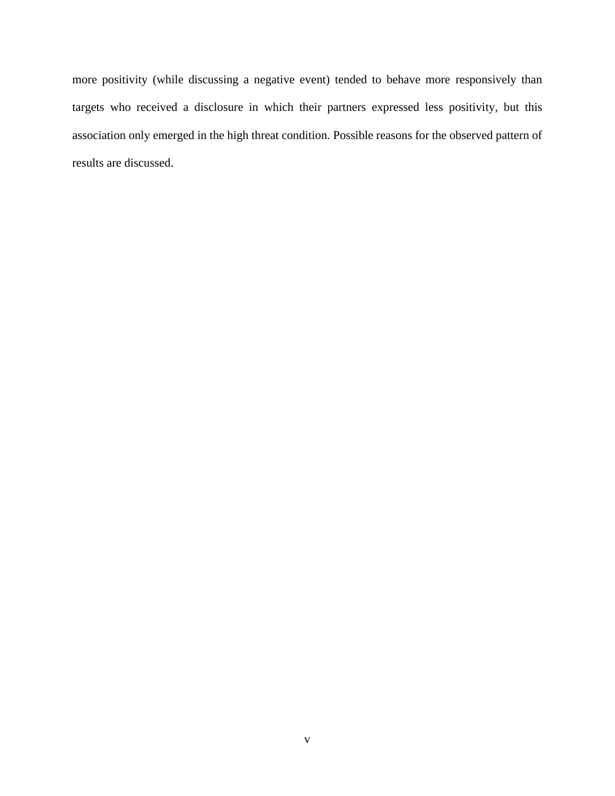more positivity (while discussing a negative event) tended to behave more responsively than targets who received a disclosure in which their partners expressed less positivity, but this association only emerged in the high threat condition. Possible reasons for the observed pattern of results are discussed.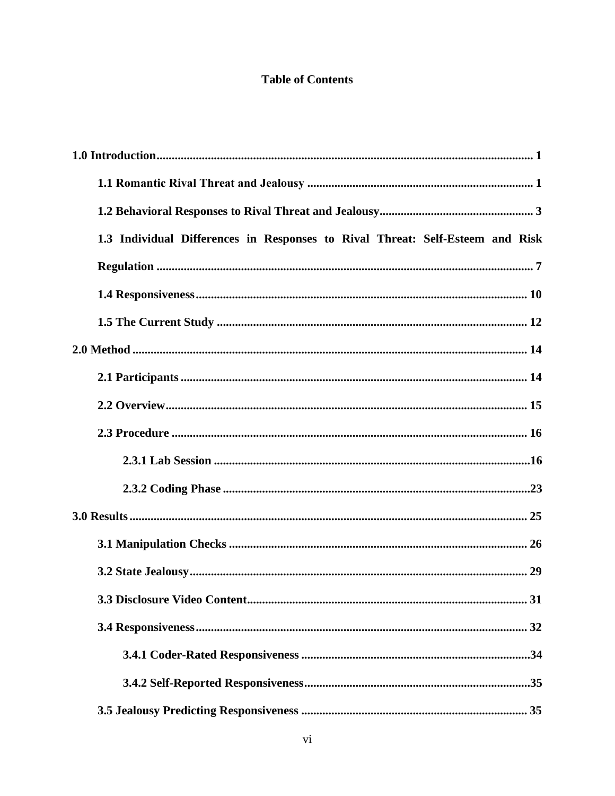# **Table of Contents**

| 1.3 Individual Differences in Responses to Rival Threat: Self-Esteem and Risk |
|-------------------------------------------------------------------------------|
|                                                                               |
|                                                                               |
|                                                                               |
|                                                                               |
|                                                                               |
|                                                                               |
|                                                                               |
|                                                                               |
|                                                                               |
|                                                                               |
|                                                                               |
|                                                                               |
| 31                                                                            |
|                                                                               |
|                                                                               |
|                                                                               |
|                                                                               |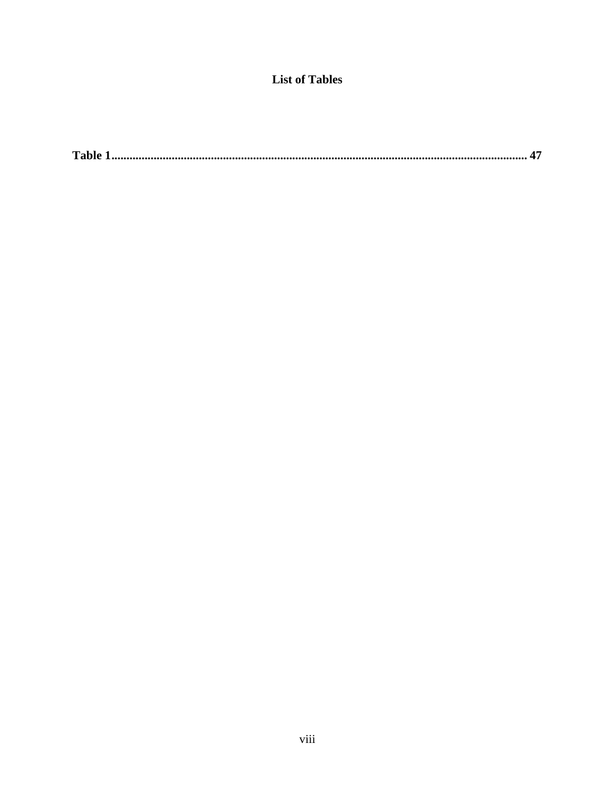# **List of Tables**

|--|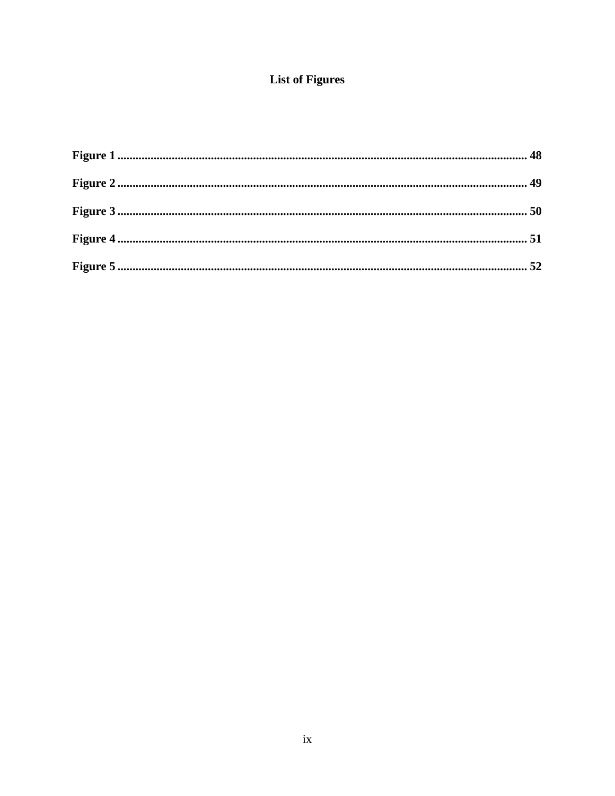# **List of Figures**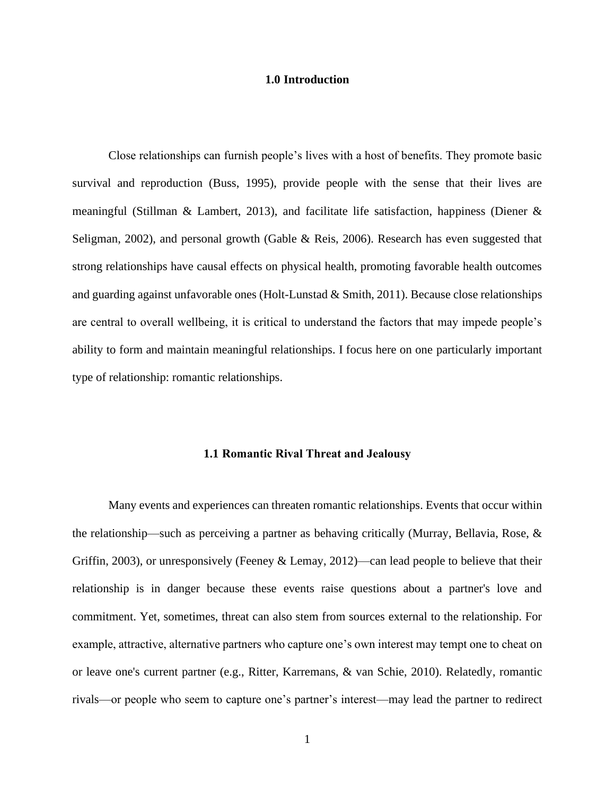#### **1.0 Introduction**

<span id="page-9-0"></span>Close relationships can furnish people's lives with a host of benefits. They promote basic survival and reproduction (Buss, 1995), provide people with the sense that their lives are meaningful (Stillman & Lambert, 2013), and facilitate life satisfaction, happiness (Diener & Seligman, 2002), and personal growth (Gable & Reis, 2006). Research has even suggested that strong relationships have causal effects on physical health, promoting favorable health outcomes and guarding against unfavorable ones (Holt-Lunstad & Smith, 2011). Because close relationships are central to overall wellbeing, it is critical to understand the factors that may impede people's ability to form and maintain meaningful relationships. I focus here on one particularly important type of relationship: romantic relationships.

#### **1.1 Romantic Rival Threat and Jealousy**

<span id="page-9-1"></span>Many events and experiences can threaten romantic relationships. Events that occur within the relationship—such as perceiving a partner as behaving critically (Murray, Bellavia, Rose,  $\&$ Griffin, 2003), or unresponsively (Feeney & Lemay, 2012)—can lead people to believe that their relationship is in danger because these events raise questions about a partner's love and commitment. Yet, sometimes, threat can also stem from sources external to the relationship. For example, attractive, alternative partners who capture one's own interest may tempt one to cheat on or leave one's current partner (e.g., Ritter, Karremans, & van Schie, 2010). Relatedly, romantic rivals—or people who seem to capture one's partner's interest—may lead the partner to redirect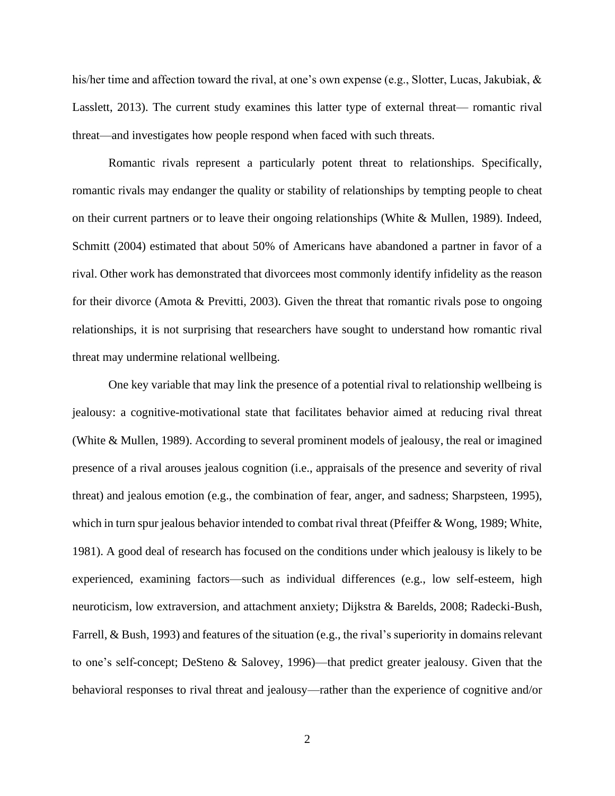his/her time and affection toward the rival, at one's own expense (e.g., Slotter, Lucas, Jakubiak, & Lasslett, 2013). The current study examines this latter type of external threat— romantic rival threat—and investigates how people respond when faced with such threats.

Romantic rivals represent a particularly potent threat to relationships. Specifically, romantic rivals may endanger the quality or stability of relationships by tempting people to cheat on their current partners or to leave their ongoing relationships (White & Mullen, 1989). Indeed, Schmitt (2004) estimated that about 50% of Americans have abandoned a partner in favor of a rival. Other work has demonstrated that divorcees most commonly identify infidelity as the reason for their divorce (Amota & Previtti, 2003). Given the threat that romantic rivals pose to ongoing relationships, it is not surprising that researchers have sought to understand how romantic rival threat may undermine relational wellbeing.

One key variable that may link the presence of a potential rival to relationship wellbeing is jealousy: a cognitive-motivational state that facilitates behavior aimed at reducing rival threat (White & Mullen, 1989). According to several prominent models of jealousy, the real or imagined presence of a rival arouses jealous cognition (i.e., appraisals of the presence and severity of rival threat) and jealous emotion (e.g., the combination of fear, anger, and sadness; Sharpsteen, 1995), which in turn spur jealous behavior intended to combat rival threat (Pfeiffer & Wong, 1989; White, 1981). A good deal of research has focused on the conditions under which jealousy is likely to be experienced, examining factors—such as individual differences (e.g., low self-esteem, high neuroticism, low extraversion, and attachment anxiety; Dijkstra & Barelds, 2008; Radecki-Bush, Farrell, & Bush, 1993) and features of the situation (e.g., the rival's superiority in domains relevant to one's self-concept; DeSteno & Salovey, 1996)—that predict greater jealousy. Given that the behavioral responses to rival threat and jealousy—rather than the experience of cognitive and/or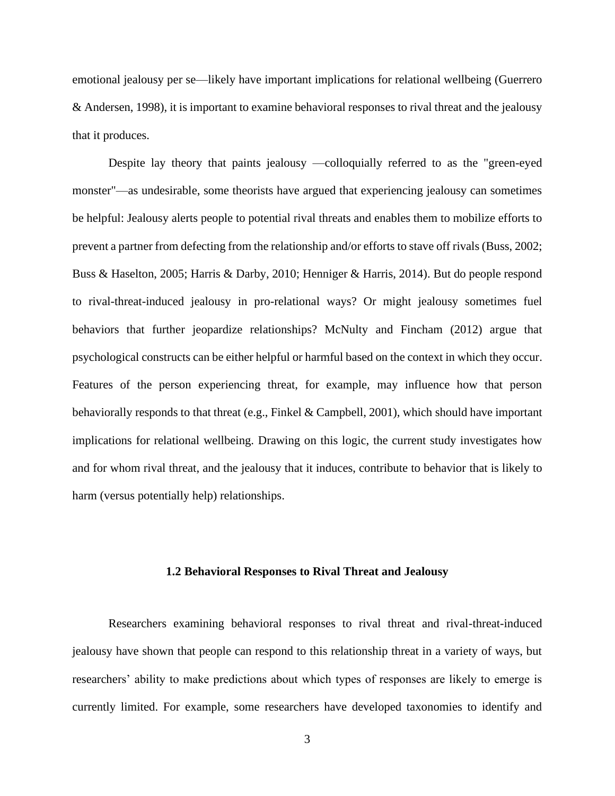emotional jealousy per se—likely have important implications for relational wellbeing (Guerrero & Andersen, 1998), it is important to examine behavioral responses to rival threat and the jealousy that it produces.

Despite lay theory that paints jealousy —colloquially referred to as the "green-eyed monster"—as undesirable, some theorists have argued that experiencing jealousy can sometimes be helpful: Jealousy alerts people to potential rival threats and enables them to mobilize efforts to prevent a partner from defecting from the relationship and/or efforts to stave off rivals (Buss, 2002; Buss & Haselton, 2005; Harris & Darby, 2010; Henniger & Harris, 2014). But do people respond to rival-threat-induced jealousy in pro-relational ways? Or might jealousy sometimes fuel behaviors that further jeopardize relationships? McNulty and Fincham (2012) argue that psychological constructs can be either helpful or harmful based on the context in which they occur. Features of the person experiencing threat, for example, may influence how that person behaviorally responds to that threat (e.g., Finkel & Campbell, 2001), which should have important implications for relational wellbeing. Drawing on this logic, the current study investigates how and for whom rival threat, and the jealousy that it induces, contribute to behavior that is likely to harm (versus potentially help) relationships.

#### **1.2 Behavioral Responses to Rival Threat and Jealousy**

<span id="page-11-0"></span>Researchers examining behavioral responses to rival threat and rival-threat-induced jealousy have shown that people can respond to this relationship threat in a variety of ways, but researchers' ability to make predictions about which types of responses are likely to emerge is currently limited. For example, some researchers have developed taxonomies to identify and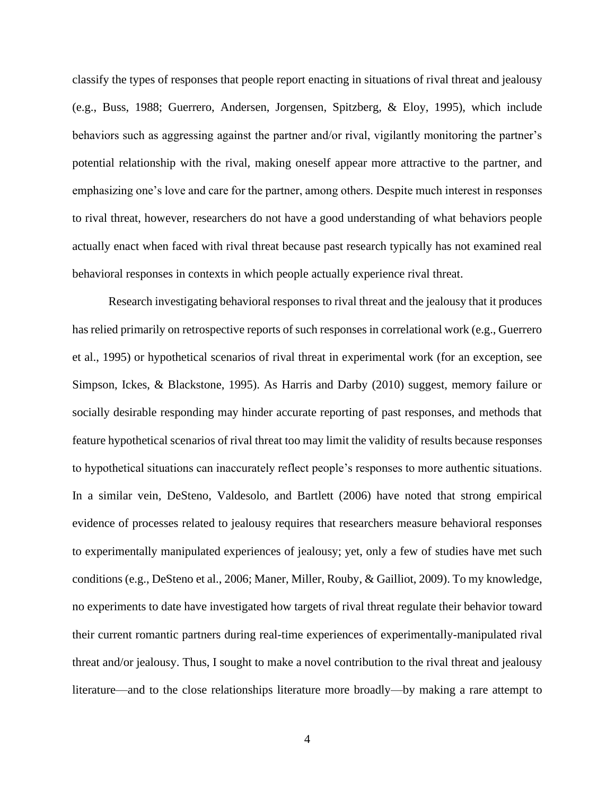classify the types of responses that people report enacting in situations of rival threat and jealousy (e.g., Buss, 1988; Guerrero, Andersen, Jorgensen, Spitzberg, & Eloy, 1995), which include behaviors such as aggressing against the partner and/or rival, vigilantly monitoring the partner's potential relationship with the rival, making oneself appear more attractive to the partner, and emphasizing one's love and care for the partner, among others. Despite much interest in responses to rival threat, however, researchers do not have a good understanding of what behaviors people actually enact when faced with rival threat because past research typically has not examined real behavioral responses in contexts in which people actually experience rival threat.

Research investigating behavioral responses to rival threat and the jealousy that it produces has relied primarily on retrospective reports of such responses in correlational work (e.g., Guerrero et al., 1995) or hypothetical scenarios of rival threat in experimental work (for an exception, see Simpson, Ickes, & Blackstone, 1995). As Harris and Darby (2010) suggest, memory failure or socially desirable responding may hinder accurate reporting of past responses, and methods that feature hypothetical scenarios of rival threat too may limit the validity of results because responses to hypothetical situations can inaccurately reflect people's responses to more authentic situations. In a similar vein, DeSteno, Valdesolo, and Bartlett (2006) have noted that strong empirical evidence of processes related to jealousy requires that researchers measure behavioral responses to experimentally manipulated experiences of jealousy; yet, only a few of studies have met such conditions (e.g., DeSteno et al., 2006; Maner, Miller, Rouby, & Gailliot, 2009). To my knowledge, no experiments to date have investigated how targets of rival threat regulate their behavior toward their current romantic partners during real-time experiences of experimentally-manipulated rival threat and/or jealousy. Thus, I sought to make a novel contribution to the rival threat and jealousy literature—and to the close relationships literature more broadly—by making a rare attempt to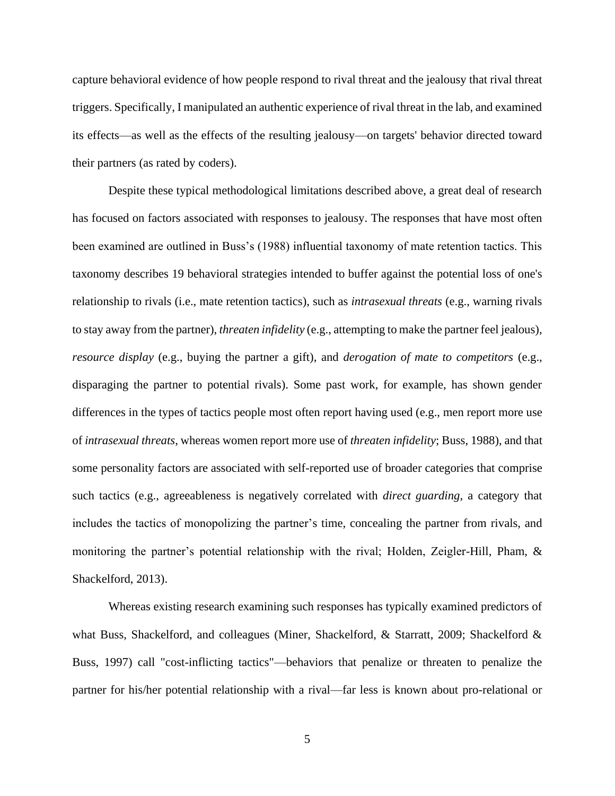capture behavioral evidence of how people respond to rival threat and the jealousy that rival threat triggers. Specifically, I manipulated an authentic experience of rival threat in the lab, and examined its effects—as well as the effects of the resulting jealousy—on targets' behavior directed toward their partners (as rated by coders).

Despite these typical methodological limitations described above, a great deal of research has focused on factors associated with responses to jealousy. The responses that have most often been examined are outlined in Buss's (1988) influential taxonomy of mate retention tactics. This taxonomy describes 19 behavioral strategies intended to buffer against the potential loss of one's relationship to rivals (i.e., mate retention tactics), such as *intrasexual threats* (e.g., warning rivals to stay away from the partner), *threaten infidelity* (e.g., attempting to make the partner feel jealous), *resource display* (e.g., buying the partner a gift), and *derogation of mate to competitors* (e.g., disparaging the partner to potential rivals). Some past work, for example, has shown gender differences in the types of tactics people most often report having used (e.g., men report more use of *intrasexual threats*, whereas women report more use of *threaten infidelity*; Buss, 1988), and that some personality factors are associated with self-reported use of broader categories that comprise such tactics (e.g., agreeableness is negatively correlated with *direct guarding*, a category that includes the tactics of monopolizing the partner's time, concealing the partner from rivals, and monitoring the partner's potential relationship with the rival; Holden, Zeigler-Hill, Pham,  $\&$ Shackelford, 2013).

Whereas existing research examining such responses has typically examined predictors of what Buss, Shackelford, and colleagues (Miner, Shackelford, & Starratt, 2009; Shackelford & Buss, 1997) call "cost-inflicting tactics"—behaviors that penalize or threaten to penalize the partner for his/her potential relationship with a rival—far less is known about pro-relational or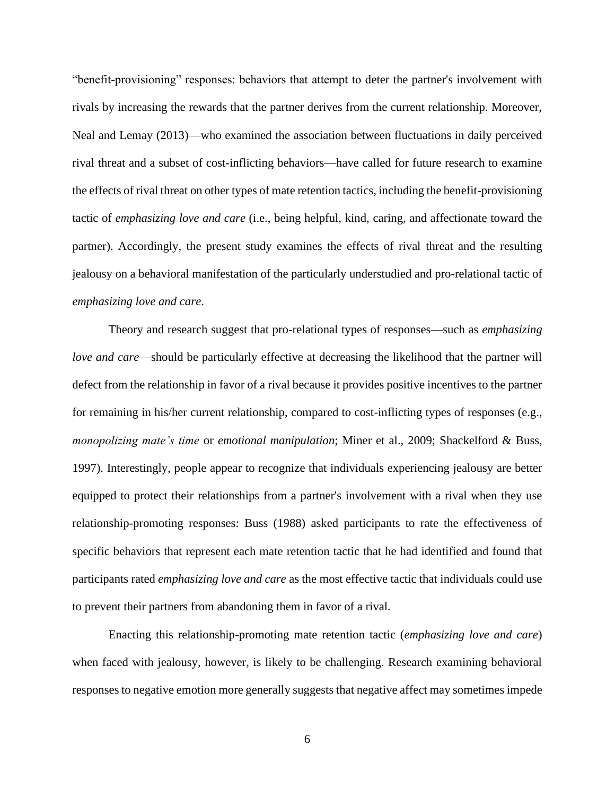"benefit-provisioning" responses: behaviors that attempt to deter the partner's involvement with rivals by increasing the rewards that the partner derives from the current relationship. Moreover, Neal and Lemay (2013)—who examined the association between fluctuations in daily perceived rival threat and a subset of cost-inflicting behaviors—have called for future research to examine the effects of rival threat on other types of mate retention tactics, including the benefit-provisioning tactic of *emphasizing love and care* (i.e., being helpful, kind, caring, and affectionate toward the partner). Accordingly, the present study examines the effects of rival threat and the resulting jealousy on a behavioral manifestation of the particularly understudied and pro-relational tactic of *emphasizing love and care*.

Theory and research suggest that pro-relational types of responses—such as *emphasizing love and care*—should be particularly effective at decreasing the likelihood that the partner will defect from the relationship in favor of a rival because it provides positive incentives to the partner for remaining in his/her current relationship, compared to cost-inflicting types of responses (e.g., *monopolizing mate's time* or *emotional manipulation*; Miner et al., 2009; Shackelford & Buss, 1997). Interestingly, people appear to recognize that individuals experiencing jealousy are better equipped to protect their relationships from a partner's involvement with a rival when they use relationship-promoting responses: Buss (1988) asked participants to rate the effectiveness of specific behaviors that represent each mate retention tactic that he had identified and found that participants rated *emphasizing love and care* as the most effective tactic that individuals could use to prevent their partners from abandoning them in favor of a rival.

Enacting this relationship-promoting mate retention tactic (*emphasizing love and care*) when faced with jealousy, however, is likely to be challenging. Research examining behavioral responses to negative emotion more generally suggests that negative affect may sometimes impede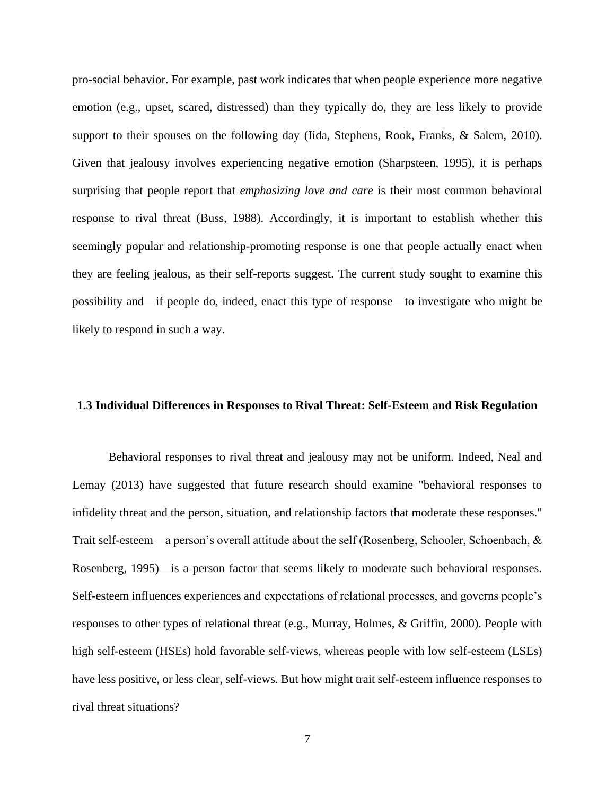pro-social behavior. For example, past work indicates that when people experience more negative emotion (e.g., upset, scared, distressed) than they typically do, they are less likely to provide support to their spouses on the following day (Iida, Stephens, Rook, Franks, & Salem, 2010). Given that jealousy involves experiencing negative emotion (Sharpsteen, 1995), it is perhaps surprising that people report that *emphasizing love and care* is their most common behavioral response to rival threat (Buss, 1988). Accordingly, it is important to establish whether this seemingly popular and relationship-promoting response is one that people actually enact when they are feeling jealous, as their self-reports suggest. The current study sought to examine this possibility and—if people do, indeed, enact this type of response—to investigate who might be likely to respond in such a way.

#### <span id="page-15-0"></span>**1.3 Individual Differences in Responses to Rival Threat: Self-Esteem and Risk Regulation**

Behavioral responses to rival threat and jealousy may not be uniform. Indeed, Neal and Lemay (2013) have suggested that future research should examine "behavioral responses to infidelity threat and the person, situation, and relationship factors that moderate these responses." Trait self-esteem—a person's overall attitude about the self (Rosenberg, Schooler, Schoenbach, & Rosenberg, 1995)—is a person factor that seems likely to moderate such behavioral responses. Self-esteem influences experiences and expectations of relational processes, and governs people's responses to other types of relational threat (e.g., Murray, Holmes, & Griffin, 2000). People with high self-esteem (HSEs) hold favorable self-views, whereas people with low self-esteem (LSEs) have less positive, or less clear, self-views. But how might trait self-esteem influence responses to rival threat situations?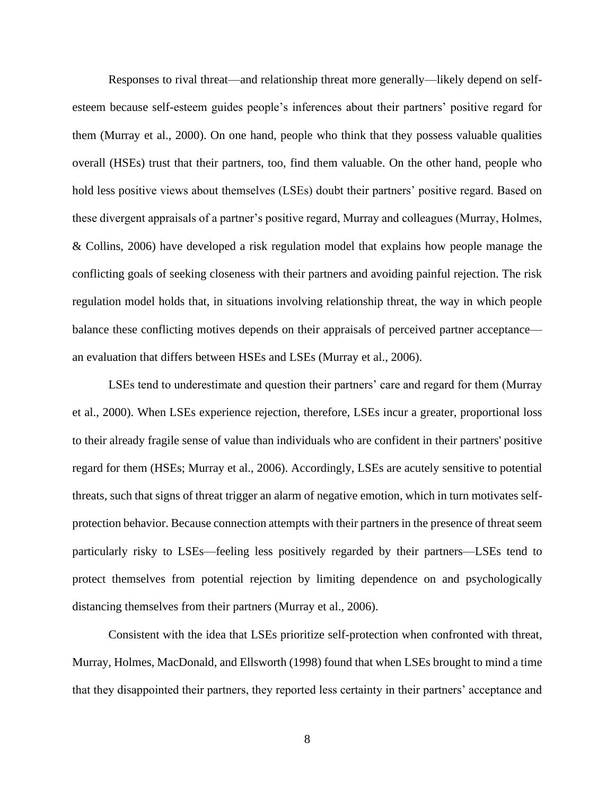Responses to rival threat—and relationship threat more generally—likely depend on selfesteem because self-esteem guides people's inferences about their partners' positive regard for them (Murray et al., 2000). On one hand, people who think that they possess valuable qualities overall (HSEs) trust that their partners, too, find them valuable. On the other hand, people who hold less positive views about themselves (LSEs) doubt their partners' positive regard. Based on these divergent appraisals of a partner's positive regard, Murray and colleagues (Murray, Holmes, & Collins, 2006) have developed a risk regulation model that explains how people manage the conflicting goals of seeking closeness with their partners and avoiding painful rejection. The risk regulation model holds that, in situations involving relationship threat, the way in which people balance these conflicting motives depends on their appraisals of perceived partner acceptance an evaluation that differs between HSEs and LSEs (Murray et al., 2006).

LSEs tend to underestimate and question their partners' care and regard for them (Murray et al., 2000). When LSEs experience rejection, therefore, LSEs incur a greater, proportional loss to their already fragile sense of value than individuals who are confident in their partners' positive regard for them (HSEs; Murray et al., 2006). Accordingly, LSEs are acutely sensitive to potential threats, such that signs of threat trigger an alarm of negative emotion, which in turn motivates selfprotection behavior. Because connection attempts with their partners in the presence of threat seem particularly risky to LSEs—feeling less positively regarded by their partners—LSEs tend to protect themselves from potential rejection by limiting dependence on and psychologically distancing themselves from their partners (Murray et al., 2006).

Consistent with the idea that LSEs prioritize self-protection when confronted with threat, Murray, Holmes, MacDonald, and Ellsworth (1998) found that when LSEs brought to mind a time that they disappointed their partners, they reported less certainty in their partners' acceptance and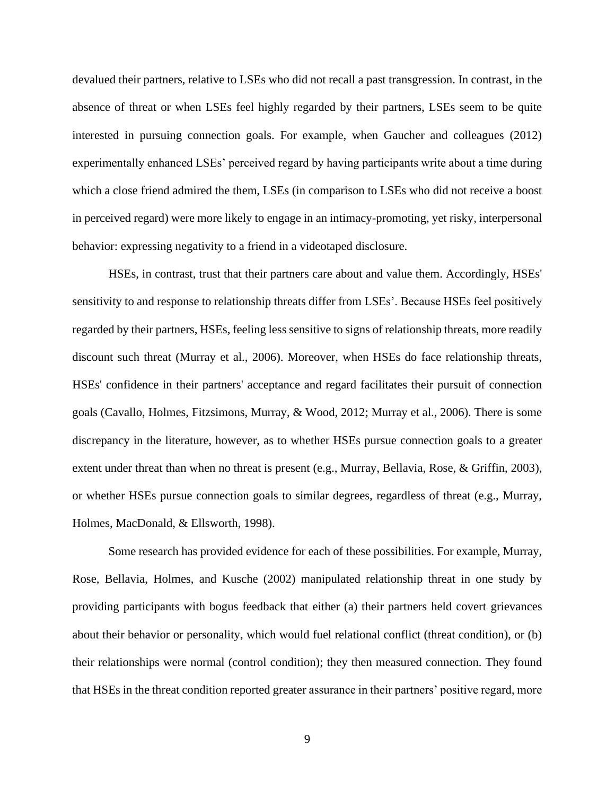devalued their partners, relative to LSEs who did not recall a past transgression. In contrast, in the absence of threat or when LSEs feel highly regarded by their partners, LSEs seem to be quite interested in pursuing connection goals. For example, when Gaucher and colleagues (2012) experimentally enhanced LSEs' perceived regard by having participants write about a time during which a close friend admired the them, LSEs (in comparison to LSEs who did not receive a boost in perceived regard) were more likely to engage in an intimacy-promoting, yet risky, interpersonal behavior: expressing negativity to a friend in a videotaped disclosure.

HSEs, in contrast, trust that their partners care about and value them. Accordingly, HSEs' sensitivity to and response to relationship threats differ from LSEs'. Because HSEs feel positively regarded by their partners, HSEs, feeling less sensitive to signs of relationship threats, more readily discount such threat (Murray et al., 2006). Moreover, when HSEs do face relationship threats, HSEs' confidence in their partners' acceptance and regard facilitates their pursuit of connection goals (Cavallo, Holmes, Fitzsimons, Murray, & Wood, 2012; Murray et al., 2006). There is some discrepancy in the literature, however, as to whether HSEs pursue connection goals to a greater extent under threat than when no threat is present (e.g., Murray, Bellavia, Rose, & Griffin, 2003), or whether HSEs pursue connection goals to similar degrees, regardless of threat (e.g., Murray, Holmes, MacDonald, & Ellsworth, 1998).

Some research has provided evidence for each of these possibilities. For example, Murray, Rose, Bellavia, Holmes, and Kusche (2002) manipulated relationship threat in one study by providing participants with bogus feedback that either (a) their partners held covert grievances about their behavior or personality, which would fuel relational conflict (threat condition), or (b) their relationships were normal (control condition); they then measured connection. They found that HSEs in the threat condition reported greater assurance in their partners' positive regard, more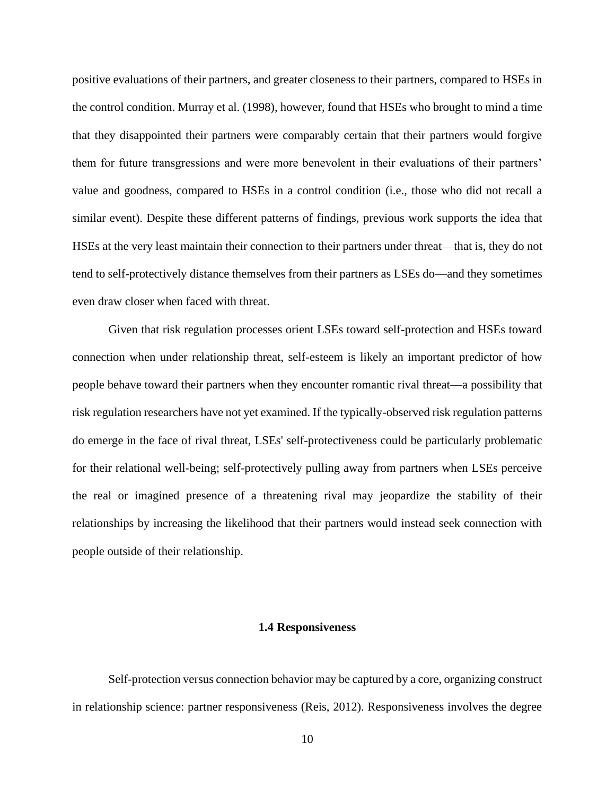positive evaluations of their partners, and greater closeness to their partners, compared to HSEs in the control condition. Murray et al. (1998), however, found that HSEs who brought to mind a time that they disappointed their partners were comparably certain that their partners would forgive them for future transgressions and were more benevolent in their evaluations of their partners' value and goodness, compared to HSEs in a control condition (i.e., those who did not recall a similar event). Despite these different patterns of findings, previous work supports the idea that HSEs at the very least maintain their connection to their partners under threat—that is, they do not tend to self-protectively distance themselves from their partners as LSEs do—and they sometimes even draw closer when faced with threat.

Given that risk regulation processes orient LSEs toward self-protection and HSEs toward connection when under relationship threat, self-esteem is likely an important predictor of how people behave toward their partners when they encounter romantic rival threat—a possibility that risk regulation researchers have not yet examined. If the typically-observed risk regulation patterns do emerge in the face of rival threat, LSEs' self-protectiveness could be particularly problematic for their relational well-being; self-protectively pulling away from partners when LSEs perceive the real or imagined presence of a threatening rival may jeopardize the stability of their relationships by increasing the likelihood that their partners would instead seek connection with people outside of their relationship.

#### **1.4 Responsiveness**

<span id="page-18-0"></span>Self-protection versus connection behavior may be captured by a core, organizing construct in relationship science: partner responsiveness (Reis, 2012). Responsiveness involves the degree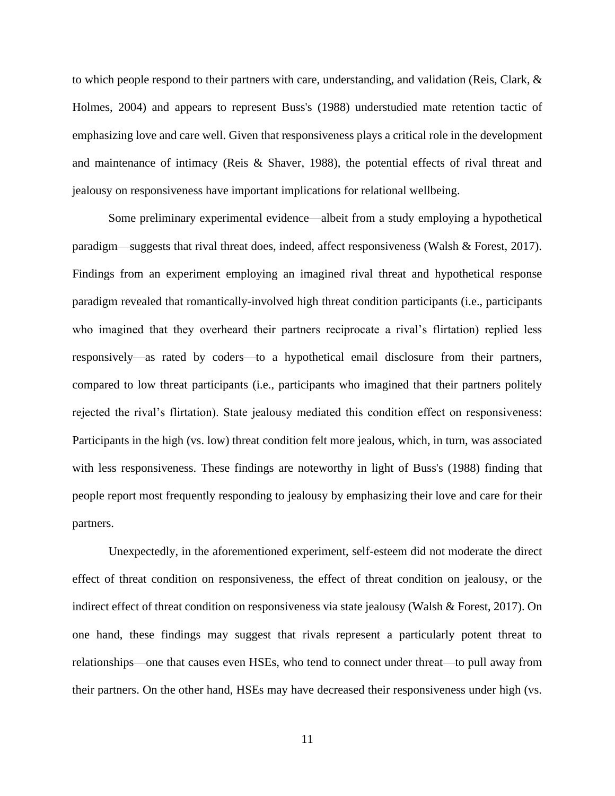to which people respond to their partners with care, understanding, and validation (Reis, Clark, & Holmes, 2004) and appears to represent Buss's (1988) understudied mate retention tactic of emphasizing love and care well. Given that responsiveness plays a critical role in the development and maintenance of intimacy (Reis & Shaver, 1988), the potential effects of rival threat and jealousy on responsiveness have important implications for relational wellbeing.

Some preliminary experimental evidence—albeit from a study employing a hypothetical paradigm—suggests that rival threat does, indeed, affect responsiveness (Walsh & Forest, 2017). Findings from an experiment employing an imagined rival threat and hypothetical response paradigm revealed that romantically-involved high threat condition participants (i.e., participants who imagined that they overheard their partners reciprocate a rival's flirtation) replied less responsively—as rated by coders—to a hypothetical email disclosure from their partners, compared to low threat participants (i.e., participants who imagined that their partners politely rejected the rival's flirtation). State jealousy mediated this condition effect on responsiveness: Participants in the high (vs. low) threat condition felt more jealous, which, in turn, was associated with less responsiveness. These findings are noteworthy in light of Buss's (1988) finding that people report most frequently responding to jealousy by emphasizing their love and care for their partners.

Unexpectedly, in the aforementioned experiment, self-esteem did not moderate the direct effect of threat condition on responsiveness, the effect of threat condition on jealousy, or the indirect effect of threat condition on responsiveness via state jealousy (Walsh & Forest, 2017). On one hand, these findings may suggest that rivals represent a particularly potent threat to relationships—one that causes even HSEs, who tend to connect under threat—to pull away from their partners. On the other hand, HSEs may have decreased their responsiveness under high (vs.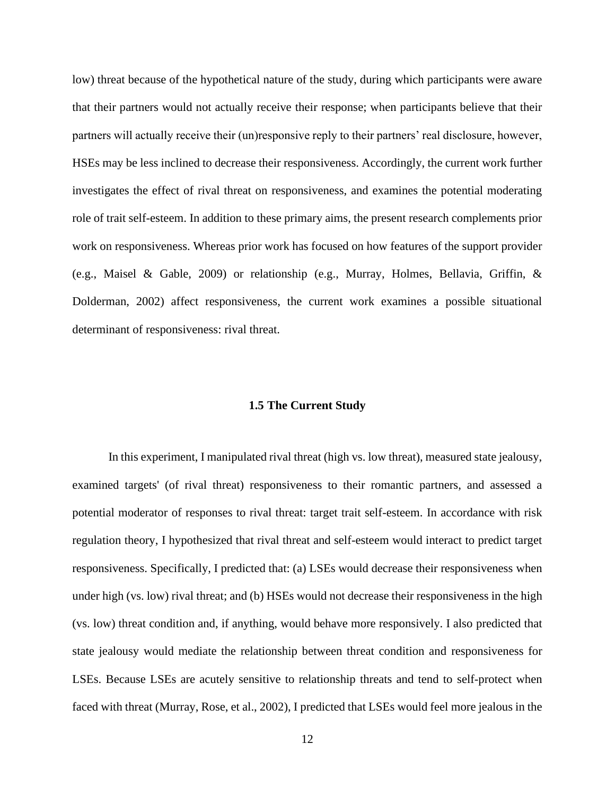low) threat because of the hypothetical nature of the study, during which participants were aware that their partners would not actually receive their response; when participants believe that their partners will actually receive their (un)responsive reply to their partners' real disclosure, however, HSEs may be less inclined to decrease their responsiveness. Accordingly, the current work further investigates the effect of rival threat on responsiveness, and examines the potential moderating role of trait self-esteem. In addition to these primary aims, the present research complements prior work on responsiveness. Whereas prior work has focused on how features of the support provider (e.g., Maisel & Gable, 2009) or relationship (e.g., Murray, Holmes, Bellavia, Griffin, & Dolderman, 2002) affect responsiveness, the current work examines a possible situational determinant of responsiveness: rival threat.

#### **1.5 The Current Study**

<span id="page-20-0"></span>In this experiment, I manipulated rival threat (high vs. low threat), measured state jealousy, examined targets' (of rival threat) responsiveness to their romantic partners, and assessed a potential moderator of responses to rival threat: target trait self-esteem. In accordance with risk regulation theory, I hypothesized that rival threat and self-esteem would interact to predict target responsiveness. Specifically, I predicted that: (a) LSEs would decrease their responsiveness when under high (vs. low) rival threat; and (b) HSEs would not decrease their responsiveness in the high (vs. low) threat condition and, if anything, would behave more responsively. I also predicted that state jealousy would mediate the relationship between threat condition and responsiveness for LSEs. Because LSEs are acutely sensitive to relationship threats and tend to self-protect when faced with threat (Murray, Rose, et al., 2002), I predicted that LSEs would feel more jealous in the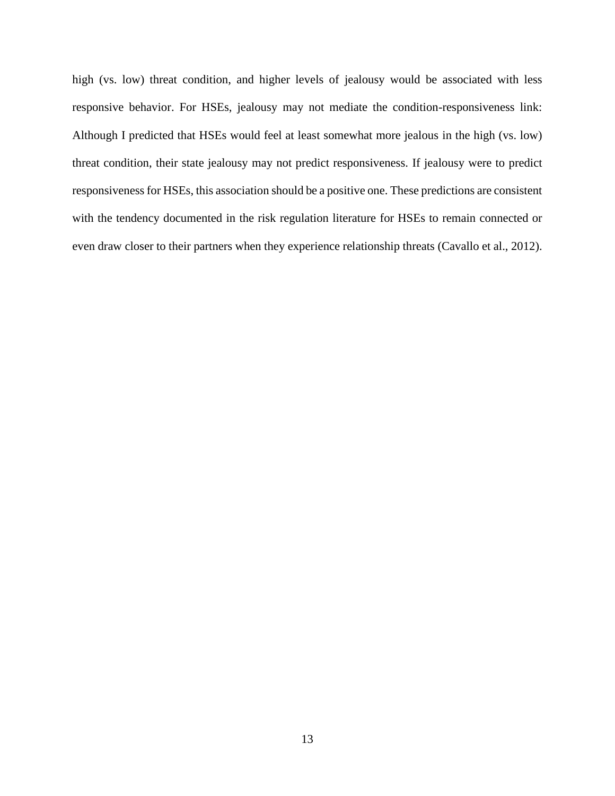high (vs. low) threat condition, and higher levels of jealousy would be associated with less responsive behavior. For HSEs, jealousy may not mediate the condition-responsiveness link: Although I predicted that HSEs would feel at least somewhat more jealous in the high (vs. low) threat condition, their state jealousy may not predict responsiveness. If jealousy were to predict responsiveness for HSEs, this association should be a positive one. These predictions are consistent with the tendency documented in the risk regulation literature for HSEs to remain connected or even draw closer to their partners when they experience relationship threats (Cavallo et al., 2012).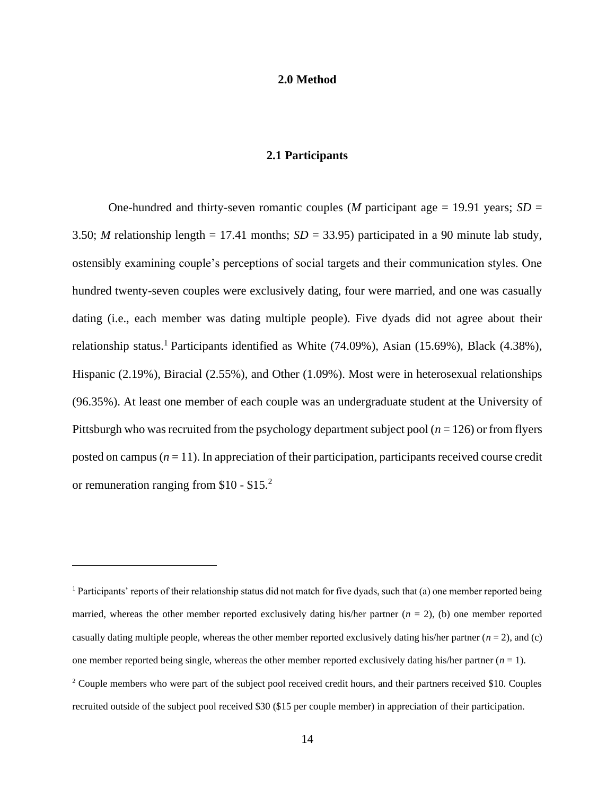#### **2.0 Method**

#### **2.1 Participants**

<span id="page-22-1"></span><span id="page-22-0"></span>One-hundred and thirty-seven romantic couples (*M* participant age  $= 19.91$  years; *SD*  $=$ 3.50; *M* relationship length = 17.41 months;  $SD = 33.95$ ) participated in a 90 minute lab study, ostensibly examining couple's perceptions of social targets and their communication styles. One hundred twenty-seven couples were exclusively dating, four were married, and one was casually dating (i.e., each member was dating multiple people). Five dyads did not agree about their relationship status.<sup>1</sup> Participants identified as White  $(74.09\%)$ , Asian  $(15.69\%)$ , Black  $(4.38\%)$ , Hispanic (2.19%), Biracial (2.55%), and Other (1.09%). Most were in heterosexual relationships (96.35%). At least one member of each couple was an undergraduate student at the University of Pittsburgh who was recruited from the psychology department subject pool (*n* = 126) or from flyers posted on campus (*n* = 11). In appreciation of their participation, participants received course credit or remuneration ranging from \$10 - \$15.<sup>2</sup>

<sup>1</sup> Participants' reports of their relationship status did not match for five dyads, such that (a) one member reported being married, whereas the other member reported exclusively dating his/her partner  $(n = 2)$ , (b) one member reported casually dating multiple people, whereas the other member reported exclusively dating his/her partner  $(n = 2)$ , and (c) one member reported being single, whereas the other member reported exclusively dating his/her partner  $(n = 1)$ . <sup>2</sup> Couple members who were part of the subject pool received credit hours, and their partners received \$10. Couples recruited outside of the subject pool received \$30 (\$15 per couple member) in appreciation of their participation.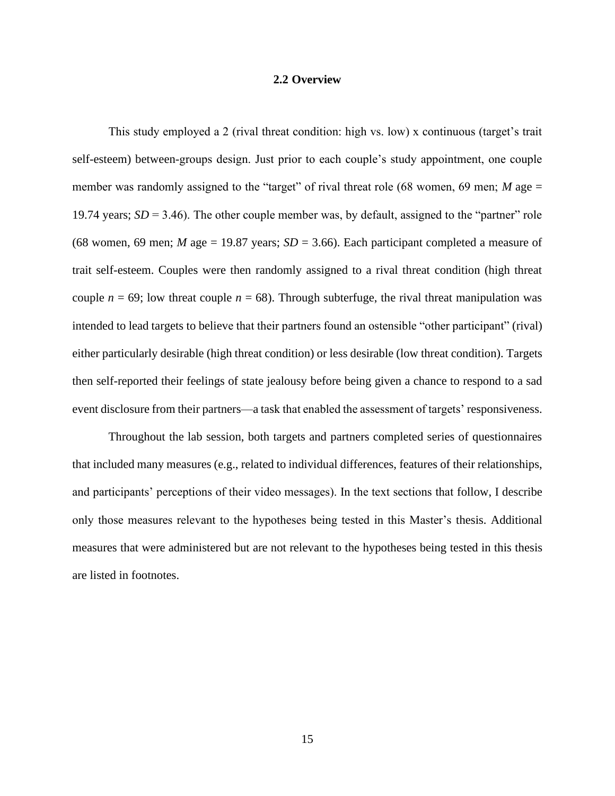#### **2.2 Overview**

<span id="page-23-0"></span>This study employed a 2 (rival threat condition: high vs. low) x continuous (target's trait self-esteem) between-groups design. Just prior to each couple's study appointment, one couple member was randomly assigned to the "target" of rival threat role (68 women, 69 men; *M* age = 19.74 years; *SD* = 3.46). The other couple member was, by default, assigned to the "partner" role (68 women, 69 men; *M* age = 19.87 years;  $SD = 3.66$ ). Each participant completed a measure of trait self-esteem. Couples were then randomly assigned to a rival threat condition (high threat couple  $n = 69$ ; low threat couple  $n = 68$ ). Through subterfuge, the rival threat manipulation was intended to lead targets to believe that their partners found an ostensible "other participant" (rival) either particularly desirable (high threat condition) or less desirable (low threat condition). Targets then self-reported their feelings of state jealousy before being given a chance to respond to a sad event disclosure from their partners—a task that enabled the assessment of targets' responsiveness.

Throughout the lab session, both targets and partners completed series of questionnaires that included many measures (e.g., related to individual differences, features of their relationships, and participants' perceptions of their video messages). In the text sections that follow, I describe only those measures relevant to the hypotheses being tested in this Master's thesis. Additional measures that were administered but are not relevant to the hypotheses being tested in this thesis are listed in footnotes.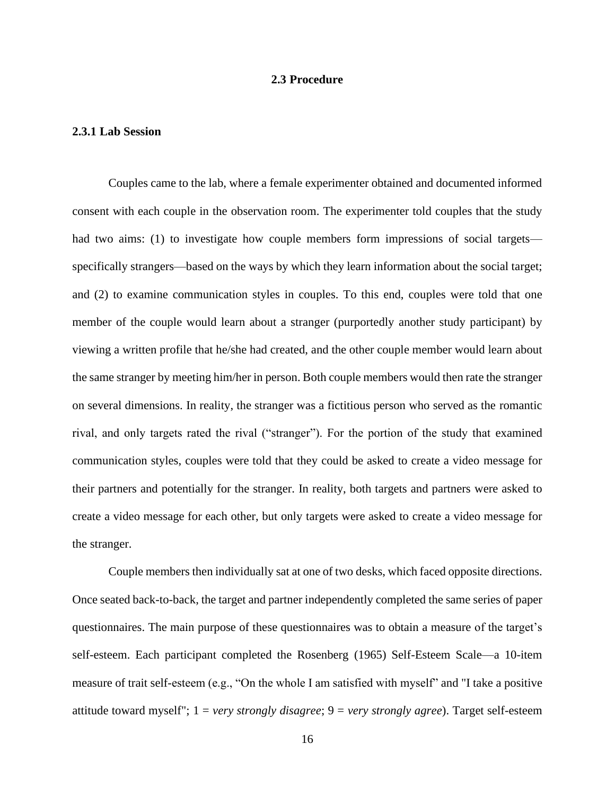#### **2.3 Procedure**

#### <span id="page-24-1"></span><span id="page-24-0"></span>**2.3.1 Lab Session**

Couples came to the lab, where a female experimenter obtained and documented informed consent with each couple in the observation room. The experimenter told couples that the study had two aims: (1) to investigate how couple members form impressions of social targets specifically strangers—based on the ways by which they learn information about the social target; and (2) to examine communication styles in couples. To this end, couples were told that one member of the couple would learn about a stranger (purportedly another study participant) by viewing a written profile that he/she had created, and the other couple member would learn about the same stranger by meeting him/her in person. Both couple members would then rate the stranger on several dimensions. In reality, the stranger was a fictitious person who served as the romantic rival, and only targets rated the rival ("stranger"). For the portion of the study that examined communication styles, couples were told that they could be asked to create a video message for their partners and potentially for the stranger. In reality, both targets and partners were asked to create a video message for each other, but only targets were asked to create a video message for the stranger.

Couple members then individually sat at one of two desks, which faced opposite directions. Once seated back-to-back, the target and partner independently completed the same series of paper questionnaires. The main purpose of these questionnaires was to obtain a measure of the target's self-esteem. Each participant completed the Rosenberg (1965) Self-Esteem Scale—a 10-item measure of trait self-esteem (e.g., "On the whole I am satisfied with myself" and "I take a positive attitude toward myself"; 1 = *very strongly disagree*; 9 = *very strongly agree*). Target self-esteem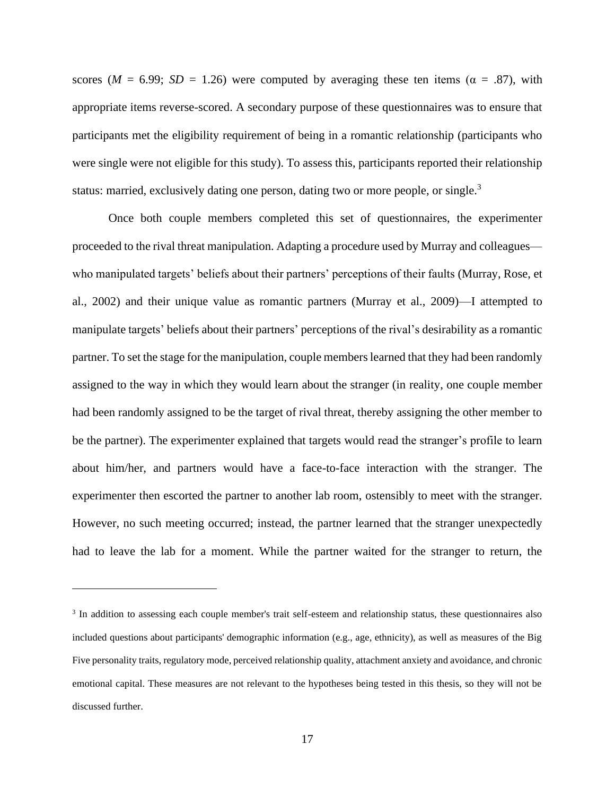scores ( $M = 6.99$ ;  $SD = 1.26$ ) were computed by averaging these ten items ( $\alpha = .87$ ), with appropriate items reverse-scored. A secondary purpose of these questionnaires was to ensure that participants met the eligibility requirement of being in a romantic relationship (participants who were single were not eligible for this study). To assess this, participants reported their relationship status: married, exclusively dating one person, dating two or more people, or single.<sup>3</sup>

Once both couple members completed this set of questionnaires, the experimenter proceeded to the rival threat manipulation. Adapting a procedure used by Murray and colleagues who manipulated targets' beliefs about their partners' perceptions of their faults (Murray, Rose, et al., 2002) and their unique value as romantic partners (Murray et al., 2009)—I attempted to manipulate targets' beliefs about their partners' perceptions of the rival's desirability as a romantic partner. To set the stage for the manipulation, couple members learned that they had been randomly assigned to the way in which they would learn about the stranger (in reality, one couple member had been randomly assigned to be the target of rival threat, thereby assigning the other member to be the partner). The experimenter explained that targets would read the stranger's profile to learn about him/her, and partners would have a face-to-face interaction with the stranger. The experimenter then escorted the partner to another lab room, ostensibly to meet with the stranger. However, no such meeting occurred; instead, the partner learned that the stranger unexpectedly had to leave the lab for a moment. While the partner waited for the stranger to return, the

<sup>&</sup>lt;sup>3</sup> In addition to assessing each couple member's trait self-esteem and relationship status, these questionnaires also included questions about participants' demographic information (e.g., age, ethnicity), as well as measures of the Big Five personality traits, regulatory mode, perceived relationship quality, attachment anxiety and avoidance, and chronic emotional capital. These measures are not relevant to the hypotheses being tested in this thesis, so they will not be discussed further.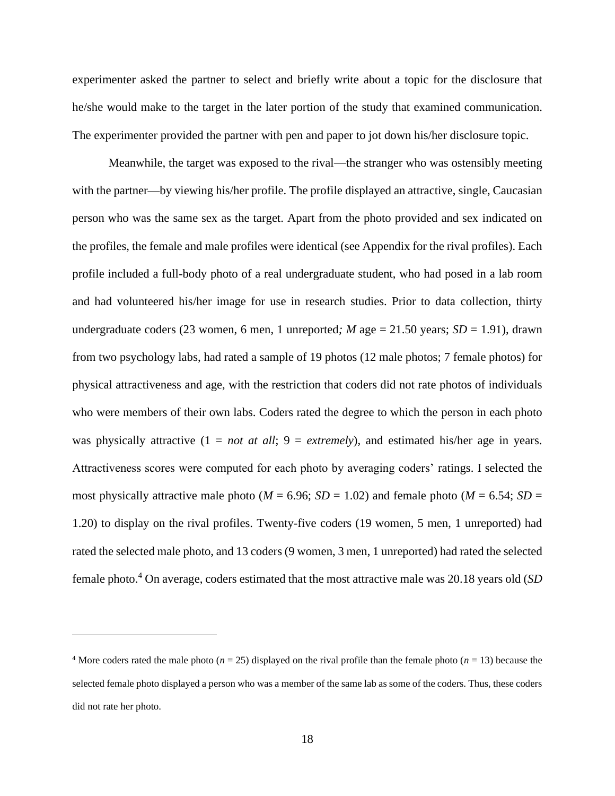experimenter asked the partner to select and briefly write about a topic for the disclosure that he/she would make to the target in the later portion of the study that examined communication. The experimenter provided the partner with pen and paper to jot down his/her disclosure topic.

Meanwhile, the target was exposed to the rival—the stranger who was ostensibly meeting with the partner—by viewing his/her profile. The profile displayed an attractive, single, Caucasian person who was the same sex as the target. Apart from the photo provided and sex indicated on the profiles, the female and male profiles were identical (see Appendix for the rival profiles). Each profile included a full-body photo of a real undergraduate student, who had posed in a lab room and had volunteered his/her image for use in research studies. Prior to data collection, thirty undergraduate coders (23 women, 6 men, 1 unreported*; M* age = 21.50 years; *SD* = 1.91), drawn from two psychology labs, had rated a sample of 19 photos (12 male photos; 7 female photos) for physical attractiveness and age, with the restriction that coders did not rate photos of individuals who were members of their own labs. Coders rated the degree to which the person in each photo was physically attractive  $(1 = not at all; 9 = extremely)$ , and estimated his/her age in years. Attractiveness scores were computed for each photo by averaging coders' ratings. I selected the most physically attractive male photo ( $M = 6.96$ ;  $SD = 1.02$ ) and female photo ( $M = 6.54$ ;  $SD =$ 1.20) to display on the rival profiles. Twenty-five coders (19 women, 5 men, 1 unreported) had rated the selected male photo, and 13 coders (9 women, 3 men, 1 unreported) had rated the selected female photo.<sup>4</sup> On average, coders estimated that the most attractive male was 20.18 years old (*SD* 

<sup>&</sup>lt;sup>4</sup> More coders rated the male photo ( $n = 25$ ) displayed on the rival profile than the female photo ( $n = 13$ ) because the selected female photo displayed a person who was a member of the same lab as some of the coders. Thus, these coders did not rate her photo.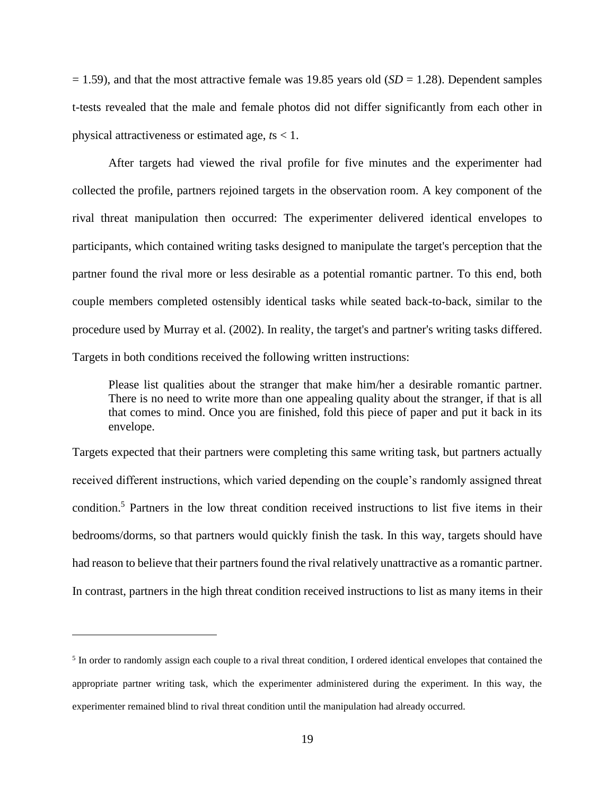= 1.59), and that the most attractive female was 19.85 years old (*SD* = 1.28). Dependent samples t-tests revealed that the male and female photos did not differ significantly from each other in physical attractiveness or estimated age, *t*s < 1.

After targets had viewed the rival profile for five minutes and the experimenter had collected the profile, partners rejoined targets in the observation room. A key component of the rival threat manipulation then occurred: The experimenter delivered identical envelopes to participants, which contained writing tasks designed to manipulate the target's perception that the partner found the rival more or less desirable as a potential romantic partner. To this end, both couple members completed ostensibly identical tasks while seated back-to-back, similar to the procedure used by Murray et al. (2002). In reality, the target's and partner's writing tasks differed. Targets in both conditions received the following written instructions:

Please list qualities about the stranger that make him/her a desirable romantic partner. There is no need to write more than one appealing quality about the stranger, if that is all that comes to mind. Once you are finished, fold this piece of paper and put it back in its envelope.

Targets expected that their partners were completing this same writing task, but partners actually received different instructions, which varied depending on the couple's randomly assigned threat condition.<sup>5</sup> Partners in the low threat condition received instructions to list five items in their bedrooms/dorms, so that partners would quickly finish the task. In this way, targets should have had reason to believe that their partners found the rival relatively unattractive as a romantic partner. In contrast, partners in the high threat condition received instructions to list as many items in their

<sup>&</sup>lt;sup>5</sup> In order to randomly assign each couple to a rival threat condition, I ordered identical envelopes that contained the appropriate partner writing task, which the experimenter administered during the experiment. In this way, the experimenter remained blind to rival threat condition until the manipulation had already occurred.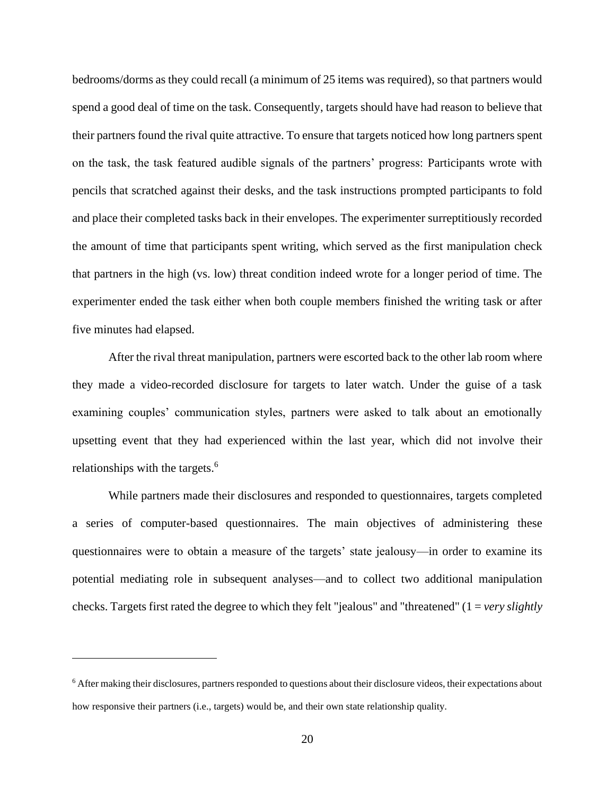bedrooms/dorms as they could recall (a minimum of 25 items was required), so that partners would spend a good deal of time on the task. Consequently, targets should have had reason to believe that their partners found the rival quite attractive. To ensure that targets noticed how long partners spent on the task, the task featured audible signals of the partners' progress: Participants wrote with pencils that scratched against their desks, and the task instructions prompted participants to fold and place their completed tasks back in their envelopes. The experimenter surreptitiously recorded the amount of time that participants spent writing, which served as the first manipulation check that partners in the high (vs. low) threat condition indeed wrote for a longer period of time. The experimenter ended the task either when both couple members finished the writing task or after five minutes had elapsed.

After the rival threat manipulation, partners were escorted back to the other lab room where they made a video-recorded disclosure for targets to later watch. Under the guise of a task examining couples' communication styles, partners were asked to talk about an emotionally upsetting event that they had experienced within the last year, which did not involve their relationships with the targets.<sup>6</sup>

While partners made their disclosures and responded to questionnaires, targets completed a series of computer-based questionnaires. The main objectives of administering these questionnaires were to obtain a measure of the targets' state jealousy—in order to examine its potential mediating role in subsequent analyses—and to collect two additional manipulation checks. Targets first rated the degree to which they felt "jealous" and "threatened" (1 = *very slightly* 

<sup>6</sup> After making their disclosures, partners responded to questions about their disclosure videos, their expectations about how responsive their partners (i.e., targets) would be, and their own state relationship quality.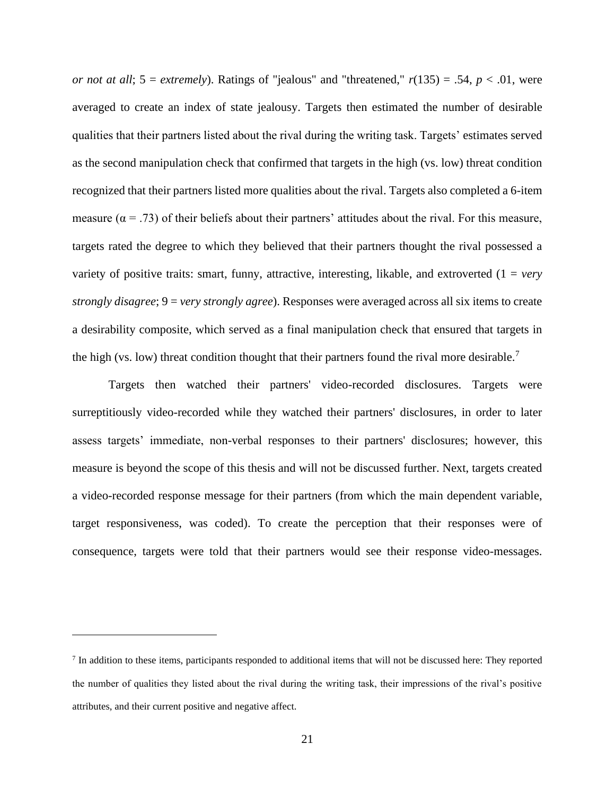*or not at all*;  $5 =$  *extremely*). Ratings of "jealous" and "threatened,"  $r(135) = .54$ ,  $p < .01$ , were averaged to create an index of state jealousy. Targets then estimated the number of desirable qualities that their partners listed about the rival during the writing task. Targets' estimates served as the second manipulation check that confirmed that targets in the high (vs. low) threat condition recognized that their partners listed more qualities about the rival. Targets also completed a 6-item measure ( $\alpha$  = .73) of their beliefs about their partners' attitudes about the rival. For this measure, targets rated the degree to which they believed that their partners thought the rival possessed a variety of positive traits: smart, funny, attractive, interesting, likable, and extroverted (1 = *very strongly disagree*; 9 = *very strongly agree*). Responses were averaged across all six items to create a desirability composite, which served as a final manipulation check that ensured that targets in the high (vs. low) threat condition thought that their partners found the rival more desirable.<sup>7</sup>

Targets then watched their partners' video-recorded disclosures. Targets were surreptitiously video-recorded while they watched their partners' disclosures, in order to later assess targets' immediate, non-verbal responses to their partners' disclosures; however, this measure is beyond the scope of this thesis and will not be discussed further. Next, targets created a video-recorded response message for their partners (from which the main dependent variable, target responsiveness, was coded). To create the perception that their responses were of consequence, targets were told that their partners would see their response video-messages.

<sup>&</sup>lt;sup>7</sup> In addition to these items, participants responded to additional items that will not be discussed here: They reported the number of qualities they listed about the rival during the writing task, their impressions of the rival's positive attributes, and their current positive and negative affect.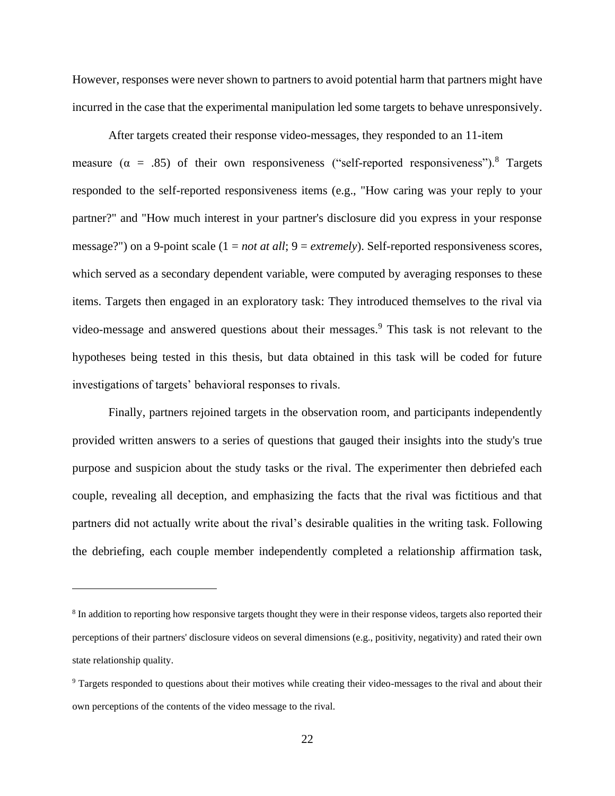However, responses were never shown to partners to avoid potential harm that partners might have incurred in the case that the experimental manipulation led some targets to behave unresponsively.

After targets created their response video-messages, they responded to an 11-item measure ( $\alpha$  = .85) of their own responsiveness ("self-reported responsiveness").<sup>8</sup> Targets responded to the self-reported responsiveness items (e.g., "How caring was your reply to your partner?" and "How much interest in your partner's disclosure did you express in your response message?") on a 9-point scale (1 = *not at all*; 9 = *extremely*). Self-reported responsiveness scores, which served as a secondary dependent variable, were computed by averaging responses to these items. Targets then engaged in an exploratory task: They introduced themselves to the rival via video-message and answered questions about their messages.<sup>9</sup> This task is not relevant to the hypotheses being tested in this thesis, but data obtained in this task will be coded for future investigations of targets' behavioral responses to rivals.

Finally, partners rejoined targets in the observation room, and participants independently provided written answers to a series of questions that gauged their insights into the study's true purpose and suspicion about the study tasks or the rival. The experimenter then debriefed each couple, revealing all deception, and emphasizing the facts that the rival was fictitious and that partners did not actually write about the rival's desirable qualities in the writing task. Following the debriefing, each couple member independently completed a relationship affirmation task,

<sup>&</sup>lt;sup>8</sup> In addition to reporting how responsive targets thought they were in their response videos, targets also reported their perceptions of their partners' disclosure videos on several dimensions (e.g., positivity, negativity) and rated their own state relationship quality.

<sup>&</sup>lt;sup>9</sup> Targets responded to questions about their motives while creating their video-messages to the rival and about their own perceptions of the contents of the video message to the rival.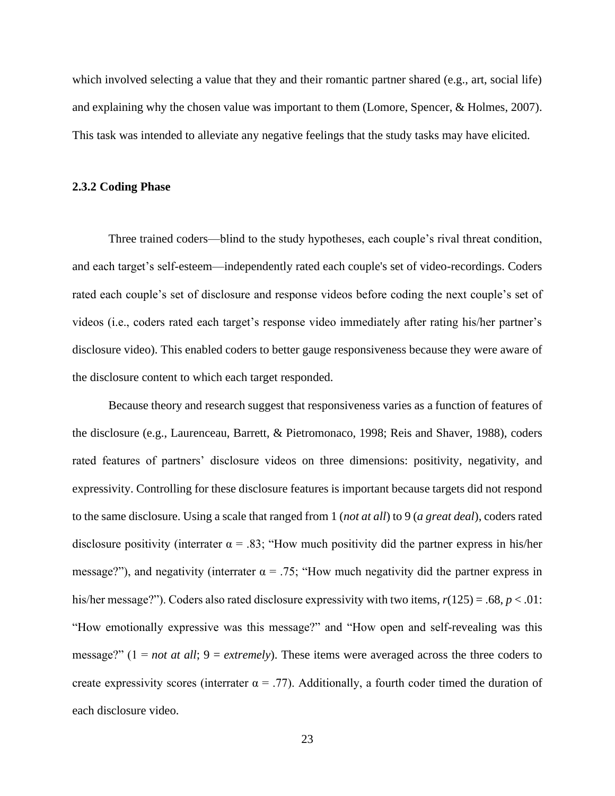which involved selecting a value that they and their romantic partner shared (e.g., art, social life) and explaining why the chosen value was important to them (Lomore, Spencer, & Holmes, 2007). This task was intended to alleviate any negative feelings that the study tasks may have elicited.

#### <span id="page-31-0"></span>**2.3.2 Coding Phase**

Three trained coders—blind to the study hypotheses, each couple's rival threat condition, and each target's self-esteem—independently rated each couple's set of video-recordings. Coders rated each couple's set of disclosure and response videos before coding the next couple's set of videos (i.e., coders rated each target's response video immediately after rating his/her partner's disclosure video). This enabled coders to better gauge responsiveness because they were aware of the disclosure content to which each target responded.

Because theory and research suggest that responsiveness varies as a function of features of the disclosure (e.g., Laurenceau, Barrett, & Pietromonaco, 1998; Reis and Shaver, 1988), coders rated features of partners' disclosure videos on three dimensions: positivity, negativity, and expressivity. Controlling for these disclosure features is important because targets did not respond to the same disclosure. Using a scale that ranged from 1 (*not at all*) to 9 (*a great deal*), coders rated disclosure positivity (interrater  $\alpha = .83$ ; "How much positivity did the partner express in his/her message?"), and negativity (interrater  $\alpha = .75$ ; "How much negativity did the partner express in his/her message?"). Coders also rated disclosure expressivity with two items, *r*(125) = .68, *p* < .01: "How emotionally expressive was this message?" and "How open and self-revealing was this message?" (1 = *not at all*; 9 = *extremely*). These items were averaged across the three coders to create expressivity scores (interrater  $\alpha = .77$ ). Additionally, a fourth coder timed the duration of each disclosure video.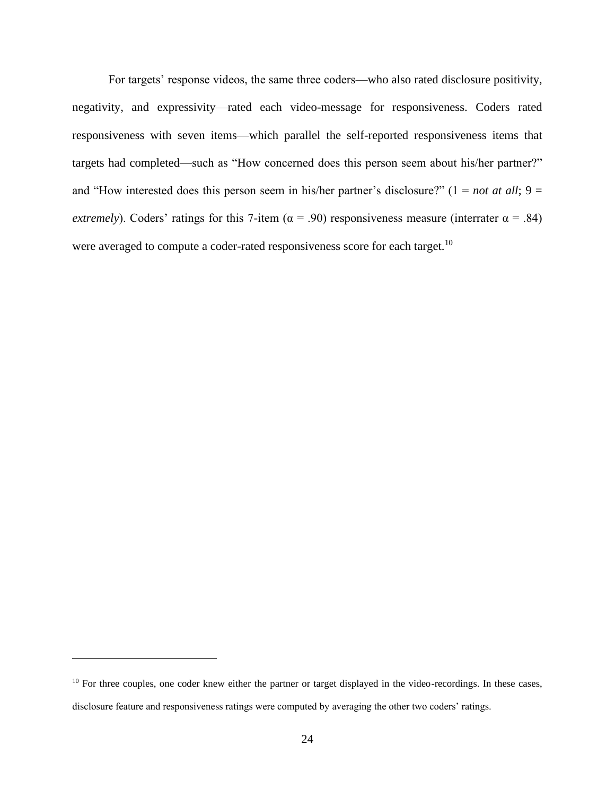For targets' response videos, the same three coders—who also rated disclosure positivity, negativity, and expressivity—rated each video-message for responsiveness. Coders rated responsiveness with seven items—which parallel the self-reported responsiveness items that targets had completed—such as "How concerned does this person seem about his/her partner?" and "How interested does this person seem in his/her partner's disclosure?"  $(1 = not at all; 9 =$ *extremely*). Coders' ratings for this 7-item ( $\alpha$  = .90) responsiveness measure (interrater  $\alpha$  = .84) were averaged to compute a coder-rated responsiveness score for each target.<sup>10</sup>

 $10$  For three couples, one coder knew either the partner or target displayed in the video-recordings. In these cases, disclosure feature and responsiveness ratings were computed by averaging the other two coders' ratings.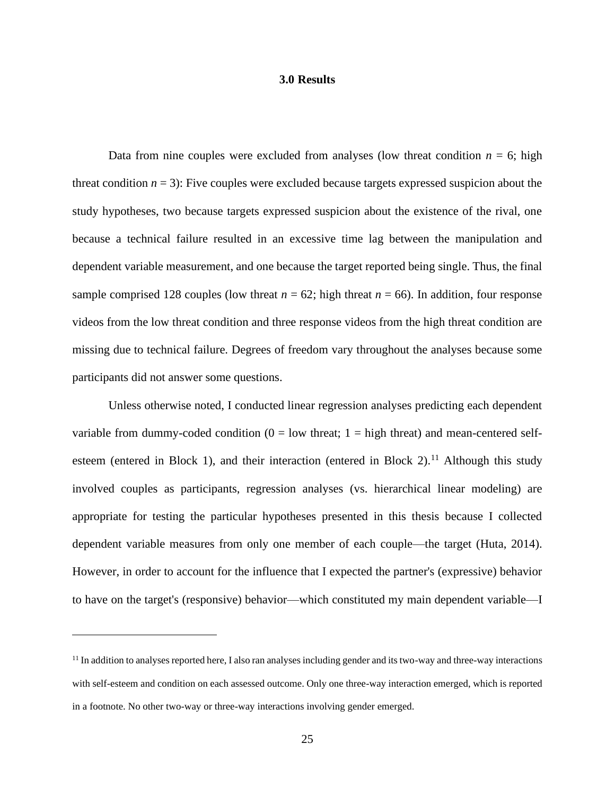#### **3.0 Results**

<span id="page-33-0"></span>Data from nine couples were excluded from analyses (low threat condition  $n = 6$ ; high threat condition  $n = 3$ ): Five couples were excluded because targets expressed suspicion about the study hypotheses, two because targets expressed suspicion about the existence of the rival, one because a technical failure resulted in an excessive time lag between the manipulation and dependent variable measurement, and one because the target reported being single. Thus, the final sample comprised 128 couples (low threat  $n = 62$ ; high threat  $n = 66$ ). In addition, four response videos from the low threat condition and three response videos from the high threat condition are missing due to technical failure. Degrees of freedom vary throughout the analyses because some participants did not answer some questions.

Unless otherwise noted, I conducted linear regression analyses predicting each dependent variable from dummy-coded condition  $(0 = low$  threat;  $1 = high$  threat) and mean-centered selfesteem (entered in Block 1), and their interaction (entered in Block 2).<sup>11</sup> Although this study involved couples as participants, regression analyses (vs. hierarchical linear modeling) are appropriate for testing the particular hypotheses presented in this thesis because I collected dependent variable measures from only one member of each couple—the target (Huta, 2014). However, in order to account for the influence that I expected the partner's (expressive) behavior to have on the target's (responsive) behavior—which constituted my main dependent variable—I

 $<sup>11</sup>$  In addition to analyses reported here, I also ran analyses including gender and its two-way and three-way interactions</sup> with self-esteem and condition on each assessed outcome. Only one three-way interaction emerged, which is reported in a footnote. No other two-way or three-way interactions involving gender emerged.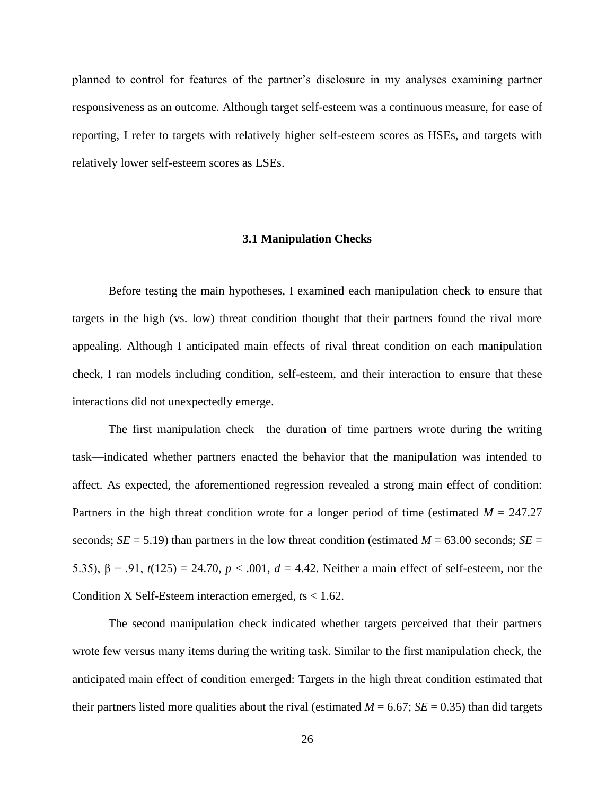planned to control for features of the partner's disclosure in my analyses examining partner responsiveness as an outcome. Although target self-esteem was a continuous measure, for ease of reporting, I refer to targets with relatively higher self-esteem scores as HSEs, and targets with relatively lower self-esteem scores as LSEs.

#### **3.1 Manipulation Checks**

<span id="page-34-0"></span>Before testing the main hypotheses, I examined each manipulation check to ensure that targets in the high (vs. low) threat condition thought that their partners found the rival more appealing. Although I anticipated main effects of rival threat condition on each manipulation check, I ran models including condition, self-esteem, and their interaction to ensure that these interactions did not unexpectedly emerge.

The first manipulation check—the duration of time partners wrote during the writing task—indicated whether partners enacted the behavior that the manipulation was intended to affect. As expected, the aforementioned regression revealed a strong main effect of condition: Partners in the high threat condition wrote for a longer period of time (estimated  $M = 247.27$ ) seconds;  $SE = 5.19$ ) than partners in the low threat condition (estimated  $M = 63.00$  seconds;  $SE =$ 5.35),  $β = .91$ ,  $t(125) = 24.70$ ,  $p < .001$ ,  $d = 4.42$ . Neither a main effect of self-esteem, nor the Condition X Self-Esteem interaction emerged, *t*s < 1.62.

The second manipulation check indicated whether targets perceived that their partners wrote few versus many items during the writing task. Similar to the first manipulation check, the anticipated main effect of condition emerged: Targets in the high threat condition estimated that their partners listed more qualities about the rival (estimated  $M = 6.67$ ;  $SE = 0.35$ ) than did targets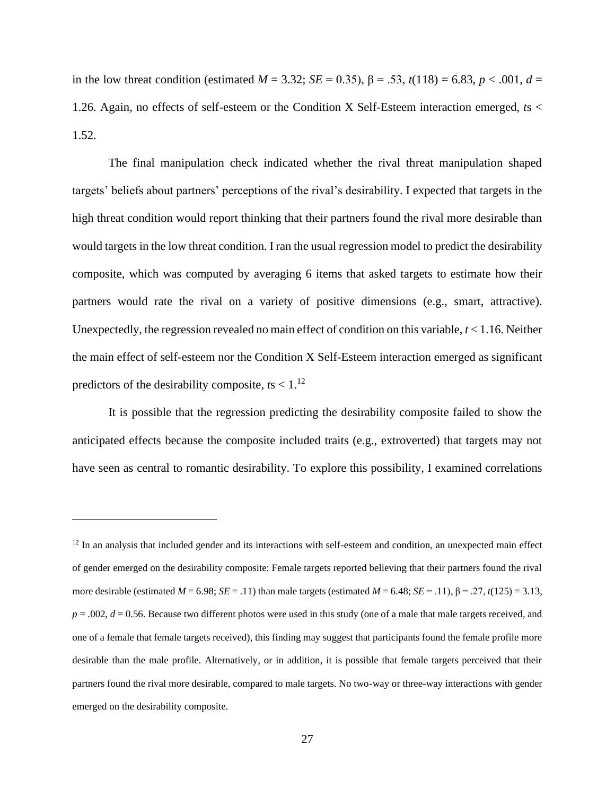in the low threat condition (estimated  $M = 3.32$ ;  $SE = 0.35$ ),  $\beta = .53$ ,  $t(118) = 6.83$ ,  $p < .001$ ,  $d =$ 1.26. Again, no effects of self-esteem or the Condition X Self-Esteem interaction emerged, *t*s < 1.52.

The final manipulation check indicated whether the rival threat manipulation shaped targets' beliefs about partners' perceptions of the rival's desirability. I expected that targets in the high threat condition would report thinking that their partners found the rival more desirable than would targets in the low threat condition. I ran the usual regression model to predict the desirability composite, which was computed by averaging 6 items that asked targets to estimate how their partners would rate the rival on a variety of positive dimensions (e.g., smart, attractive). Unexpectedly, the regression revealed no main effect of condition on this variable, *t* < 1.16. Neither the main effect of self-esteem nor the Condition X Self-Esteem interaction emerged as significant predictors of the desirability composite,  $ts < 1.^{12}$ 

It is possible that the regression predicting the desirability composite failed to show the anticipated effects because the composite included traits (e.g., extroverted) that targets may not have seen as central to romantic desirability. To explore this possibility, I examined correlations

 $12$  In an analysis that included gender and its interactions with self-esteem and condition, an unexpected main effect of gender emerged on the desirability composite: Female targets reported believing that their partners found the rival more desirable (estimated  $M = 6.98$ ;  $SE = .11$ ) than male targets (estimated  $M = 6.48$ ;  $SE = .11$ ),  $\beta = .27$ ,  $t(125) = 3.13$ ,  $p = .002$ ,  $d = 0.56$ . Because two different photos were used in this study (one of a male that male targets received, and one of a female that female targets received), this finding may suggest that participants found the female profile more desirable than the male profile. Alternatively, or in addition, it is possible that female targets perceived that their partners found the rival more desirable, compared to male targets. No two-way or three-way interactions with gender emerged on the desirability composite.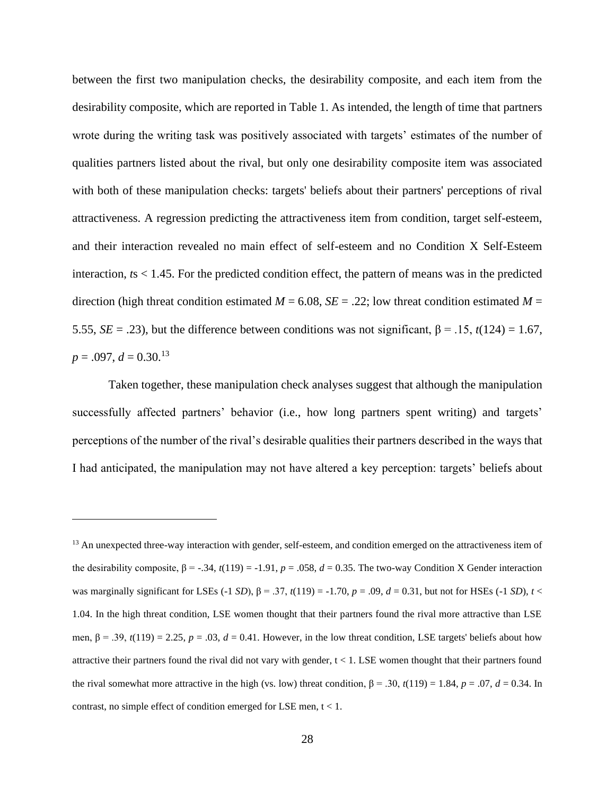between the first two manipulation checks, the desirability composite, and each item from the desirability composite, which are reported in Table 1. As intended, the length of time that partners wrote during the writing task was positively associated with targets' estimates of the number of qualities partners listed about the rival, but only one desirability composite item was associated with both of these manipulation checks: targets' beliefs about their partners' perceptions of rival attractiveness. A regression predicting the attractiveness item from condition, target self-esteem, and their interaction revealed no main effect of self-esteem and no Condition X Self-Esteem interaction, *t*s < 1.45. For the predicted condition effect, the pattern of means was in the predicted direction (high threat condition estimated  $M = 6.08$ ,  $SE = .22$ ; low threat condition estimated  $M =$ 5.55, *SE* = .23), but the difference between conditions was not significant,  $\beta$  = .15,  $t(124)$  = 1.67,  $p = .097, d = 0.30^{13}$ 

Taken together, these manipulation check analyses suggest that although the manipulation successfully affected partners' behavior (i.e., how long partners spent writing) and targets' perceptions of the number of the rival's desirable qualities their partners described in the ways that I had anticipated, the manipulation may not have altered a key perception: targets' beliefs about

<sup>&</sup>lt;sup>13</sup> An unexpected three-way interaction with gender, self-esteem, and condition emerged on the attractiveness item of the desirability composite,  $β = -.34$ ,  $t(119) = -1.91$ ,  $p = .058$ ,  $d = 0.35$ . The two-way Condition X Gender interaction was marginally significant for LSEs (-1 *SD*),  $β = .37$ ,  $t(119) = -1.70$ ,  $p = .09$ ,  $d = 0.31$ , but not for HSEs (-1 *SD*),  $t <$ 1.04. In the high threat condition, LSE women thought that their partners found the rival more attractive than LSE men,  $\beta = .39$ ,  $t(119) = 2.25$ ,  $p = .03$ ,  $d = 0.41$ . However, in the low threat condition, LSE targets' beliefs about how attractive their partners found the rival did not vary with gender,  $t < 1$ . LSE women thought that their partners found the rival somewhat more attractive in the high (vs. low) threat condition,  $β = .30$ ,  $t(119) = 1.84$ ,  $p = .07$ ,  $d = 0.34$ . In contrast, no simple effect of condition emerged for LSE men, t < 1.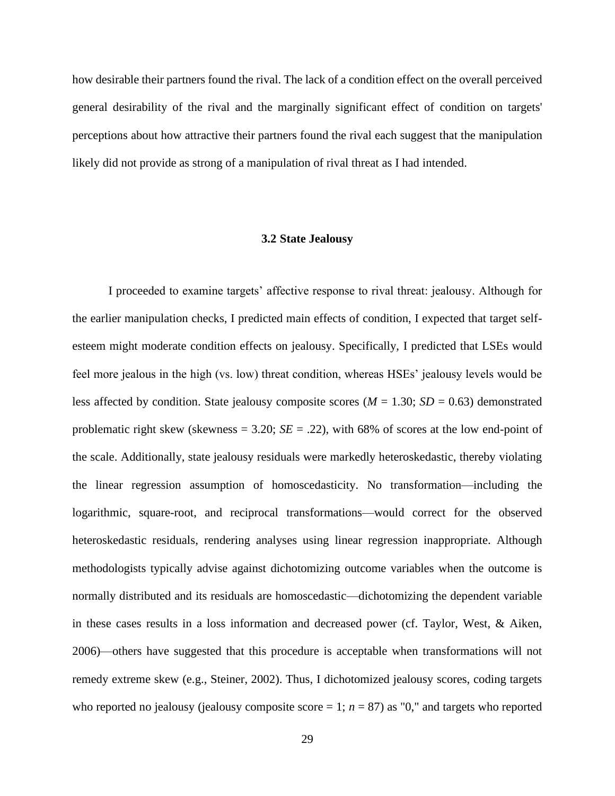how desirable their partners found the rival. The lack of a condition effect on the overall perceived general desirability of the rival and the marginally significant effect of condition on targets' perceptions about how attractive their partners found the rival each suggest that the manipulation likely did not provide as strong of a manipulation of rival threat as I had intended.

#### **3.2 State Jealousy**

<span id="page-37-0"></span>I proceeded to examine targets' affective response to rival threat: jealousy. Although for the earlier manipulation checks, I predicted main effects of condition, I expected that target selfesteem might moderate condition effects on jealousy. Specifically, I predicted that LSEs would feel more jealous in the high (vs. low) threat condition, whereas HSEs' jealousy levels would be less affected by condition. State jealousy composite scores ( $M = 1.30$ ;  $SD = 0.63$ ) demonstrated problematic right skew (skewness  $= 3.20$ ;  $SE = .22$ ), with 68% of scores at the low end-point of the scale. Additionally, state jealousy residuals were markedly heteroskedastic, thereby violating the linear regression assumption of homoscedasticity. No transformation—including the logarithmic, square-root, and reciprocal transformations—would correct for the observed heteroskedastic residuals, rendering analyses using linear regression inappropriate. Although methodologists typically advise against dichotomizing outcome variables when the outcome is normally distributed and its residuals are homoscedastic—dichotomizing the dependent variable in these cases results in a loss information and decreased power (cf. Taylor, West, & Aiken, 2006)—others have suggested that this procedure is acceptable when transformations will not remedy extreme skew (e.g., Steiner, 2002). Thus, I dichotomized jealousy scores, coding targets who reported no jealousy (jealousy composite score  $= 1$ ;  $n = 87$ ) as "0," and targets who reported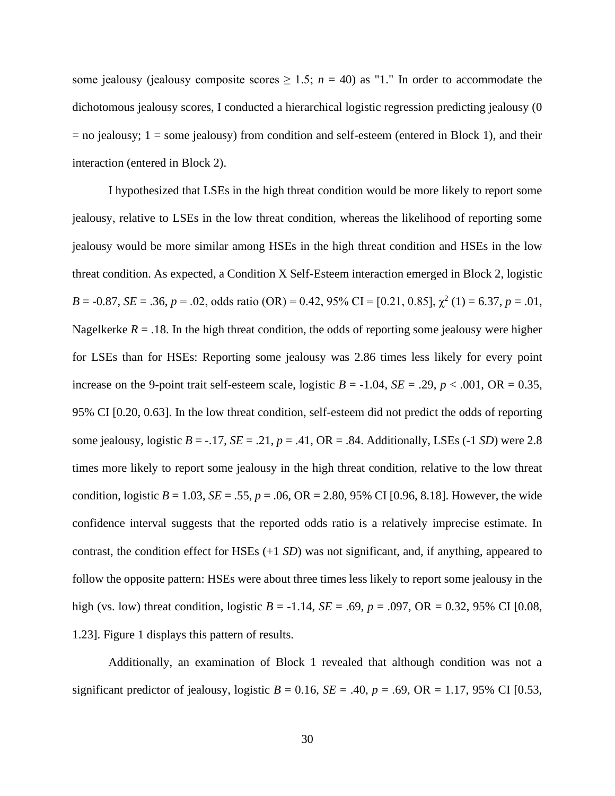some jealousy (jealousy composite scores  $\geq 1.5$ ;  $n = 40$ ) as "1." In order to accommodate the dichotomous jealousy scores, I conducted a hierarchical logistic regression predicting jealousy (0  $=$  no jealousy; 1 = some jealousy) from condition and self-esteem (entered in Block 1), and their interaction (entered in Block 2).

I hypothesized that LSEs in the high threat condition would be more likely to report some jealousy, relative to LSEs in the low threat condition, whereas the likelihood of reporting some jealousy would be more similar among HSEs in the high threat condition and HSEs in the low threat condition. As expected, a Condition X Self-Esteem interaction emerged in Block 2, logistic  $B = -0.87$ ,  $SE = .36$ ,  $p = .02$ , odds ratio (OR) = 0.42, 95% CI = [0.21, 0.85],  $\chi^2$  (1) = 6.37,  $p = .01$ , Nagelkerke  $R = 0.18$ . In the high threat condition, the odds of reporting some jealousy were higher for LSEs than for HSEs: Reporting some jealousy was 2.86 times less likely for every point increase on the 9-point trait self-esteem scale, logistic  $B = -1.04$ ,  $SE = .29$ ,  $p < .001$ ,  $OR = 0.35$ , 95% CI [0.20, 0.63]. In the low threat condition, self-esteem did not predict the odds of reporting some jealousy, logistic  $B = -.17$ ,  $SE = .21$ ,  $p = .41$ ,  $OR = .84$ . Additionally, LSEs (-1 *SD*) were 2.8 times more likely to report some jealousy in the high threat condition, relative to the low threat condition, logistic  $B = 1.03$ ,  $SE = .55$ ,  $p = .06$ ,  $OR = 2.80$ ,  $95\%$  CI [0.96, 8.18]. However, the wide confidence interval suggests that the reported odds ratio is a relatively imprecise estimate. In contrast, the condition effect for HSEs (+1 *SD*) was not significant, and, if anything, appeared to follow the opposite pattern: HSEs were about three times less likely to report some jealousy in the high (vs. low) threat condition, logistic *B* = -1.14, *SE* = .69, *p* = .097, OR = 0.32, 95% CI [0.08, 1.23]. Figure 1 displays this pattern of results.

Additionally, an examination of Block 1 revealed that although condition was not a significant predictor of jealousy, logistic  $B = 0.16$ ,  $SE = .40$ ,  $p = .69$ ,  $OR = 1.17$ , 95% CI [0.53,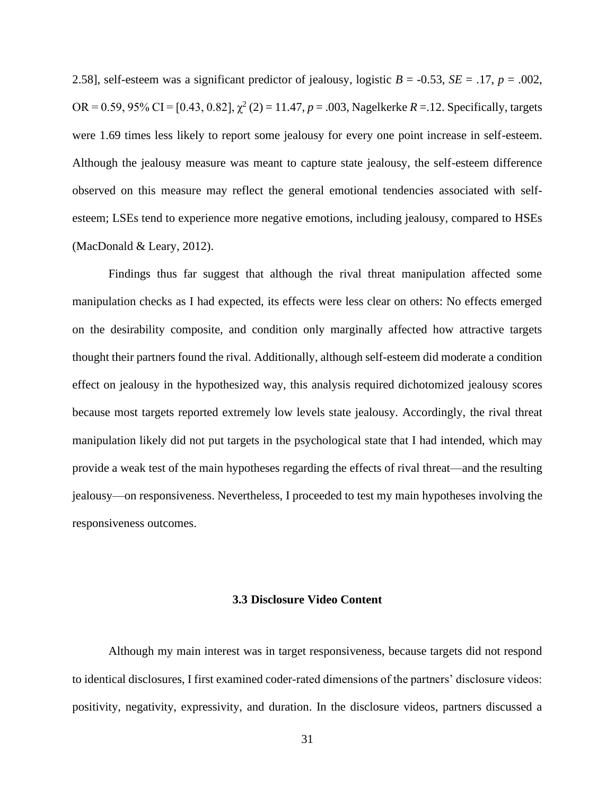2.58], self-esteem was a significant predictor of jealousy, logistic  $B = -0.53$ ,  $SE = .17$ ,  $p = .002$ , OR = 0.59, 95% CI = [0.43, 0.82],  $\chi^2$  (2) = 11.47, *p* = .003, Nagelkerke *R* = .12. Specifically, targets were 1.69 times less likely to report some jealousy for every one point increase in self-esteem. Although the jealousy measure was meant to capture state jealousy, the self-esteem difference observed on this measure may reflect the general emotional tendencies associated with selfesteem; LSEs tend to experience more negative emotions, including jealousy, compared to HSEs (MacDonald & Leary, 2012).

Findings thus far suggest that although the rival threat manipulation affected some manipulation checks as I had expected, its effects were less clear on others: No effects emerged on the desirability composite, and condition only marginally affected how attractive targets thought their partners found the rival. Additionally, although self-esteem did moderate a condition effect on jealousy in the hypothesized way, this analysis required dichotomized jealousy scores because most targets reported extremely low levels state jealousy. Accordingly, the rival threat manipulation likely did not put targets in the psychological state that I had intended, which may provide a weak test of the main hypotheses regarding the effects of rival threat—and the resulting jealousy—on responsiveness. Nevertheless, I proceeded to test my main hypotheses involving the responsiveness outcomes.

#### **3.3 Disclosure Video Content**

<span id="page-39-0"></span>Although my main interest was in target responsiveness, because targets did not respond to identical disclosures, I first examined coder-rated dimensions of the partners' disclosure videos: positivity, negativity, expressivity, and duration. In the disclosure videos, partners discussed a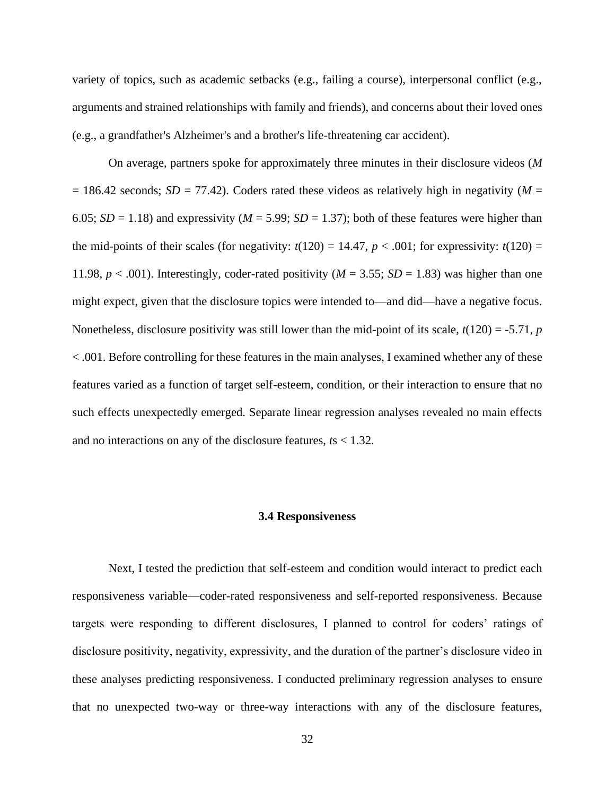variety of topics, such as academic setbacks (e.g., failing a course), interpersonal conflict (e.g., arguments and strained relationships with family and friends), and concerns about their loved ones (e.g., a grandfather's Alzheimer's and a brother's life-threatening car accident).

On average, partners spoke for approximately three minutes in their disclosure videos (*M*   $= 186.42$  seconds; *SD* = 77.42). Coders rated these videos as relatively high in negativity (*M* = 6.05;  $SD = 1.18$ ) and expressivity ( $M = 5.99$ ;  $SD = 1.37$ ); both of these features were higher than the mid-points of their scales (for negativity:  $t(120) = 14.47$ ,  $p < .001$ ; for expressivity:  $t(120) =$ 11.98,  $p < .001$ ). Interestingly, coder-rated positivity ( $M = 3.55$ ;  $SD = 1.83$ ) was higher than one might expect, given that the disclosure topics were intended to—and did—have a negative focus. Nonetheless, disclosure positivity was still lower than the mid-point of its scale,  $t(120) = -5.71$ , *p* < .001. Before controlling for these features in the main analyses, I examined whether any of these features varied as a function of target self-esteem, condition, or their interaction to ensure that no such effects unexpectedly emerged. Separate linear regression analyses revealed no main effects and no interactions on any of the disclosure features, *t*s < 1.32.

#### **3.4 Responsiveness**

<span id="page-40-0"></span>Next, I tested the prediction that self-esteem and condition would interact to predict each responsiveness variable—coder-rated responsiveness and self-reported responsiveness. Because targets were responding to different disclosures, I planned to control for coders' ratings of disclosure positivity, negativity, expressivity, and the duration of the partner's disclosure video in these analyses predicting responsiveness. I conducted preliminary regression analyses to ensure that no unexpected two-way or three-way interactions with any of the disclosure features,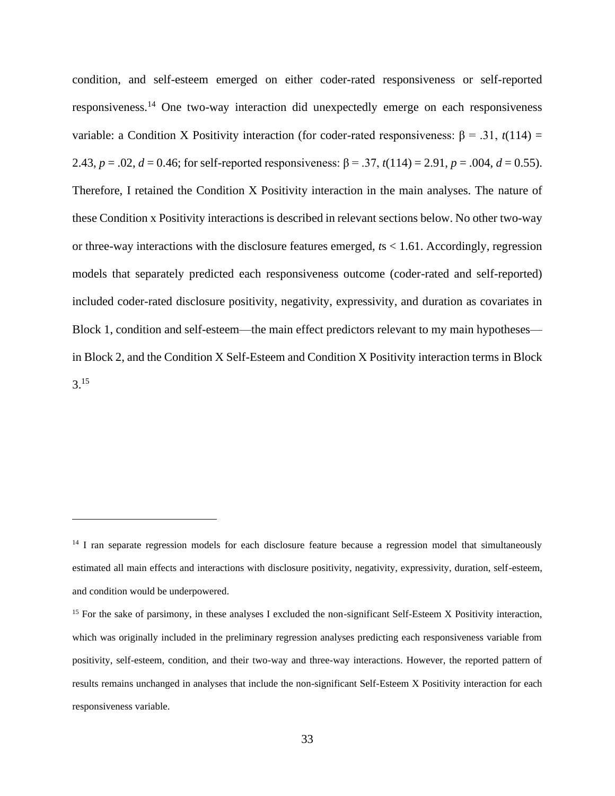condition, and self-esteem emerged on either coder-rated responsiveness or self-reported responsiveness.<sup>14</sup> One two-way interaction did unexpectedly emerge on each responsiveness variable: a Condition X Positivity interaction (for coder-rated responsiveness: β = .31,  $t(114)$  = 2.43,  $p = .02$ ,  $d = 0.46$ ; for self-reported responsiveness:  $\beta = .37$ ,  $t(114) = 2.91$ ,  $p = .004$ ,  $d = 0.55$ ). Therefore, I retained the Condition X Positivity interaction in the main analyses. The nature of these Condition x Positivity interactions is described in relevant sections below. No other two-way or three-way interactions with the disclosure features emerged, *t*s < 1.61. Accordingly, regression models that separately predicted each responsiveness outcome (coder-rated and self-reported) included coder-rated disclosure positivity, negativity, expressivity, and duration as covariates in Block 1, condition and self-esteem—the main effect predictors relevant to my main hypotheses in Block 2, and the Condition X Self-Esteem and Condition X Positivity interaction terms in Block 3.<sup>15</sup>

<sup>&</sup>lt;sup>14</sup> I ran separate regression models for each disclosure feature because a regression model that simultaneously estimated all main effects and interactions with disclosure positivity, negativity, expressivity, duration, self-esteem, and condition would be underpowered.

<sup>&</sup>lt;sup>15</sup> For the sake of parsimony, in these analyses I excluded the non-significant Self-Esteem X Positivity interaction, which was originally included in the preliminary regression analyses predicting each responsiveness variable from positivity, self-esteem, condition, and their two-way and three-way interactions. However, the reported pattern of results remains unchanged in analyses that include the non-significant Self-Esteem X Positivity interaction for each responsiveness variable.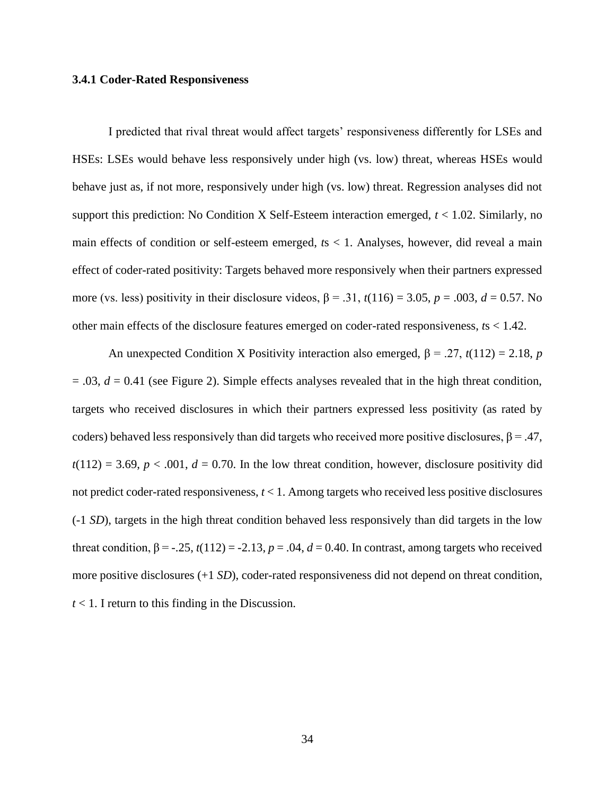#### <span id="page-42-0"></span>**3.4.1 Coder-Rated Responsiveness**

I predicted that rival threat would affect targets' responsiveness differently for LSEs and HSEs: LSEs would behave less responsively under high (vs. low) threat, whereas HSEs would behave just as, if not more, responsively under high (vs. low) threat. Regression analyses did not support this prediction: No Condition X Self-Esteem interaction emerged, *t* < 1.02. Similarly, no main effects of condition or self-esteem emerged, *t*s < 1. Analyses, however, did reveal a main effect of coder-rated positivity: Targets behaved more responsively when their partners expressed more (vs. less) positivity in their disclosure videos,  $β = .31$ ,  $t(116) = 3.05$ ,  $p = .003$ ,  $d = 0.57$ . No other main effects of the disclosure features emerged on coder-rated responsiveness, *t*s < 1.42.

An unexpected Condition X Positivity interaction also emerged,  $\beta = .27$ ,  $t(112) = 2.18$ , *p*  $= .03$ ,  $d = 0.41$  (see Figure 2). Simple effects analyses revealed that in the high threat condition, targets who received disclosures in which their partners expressed less positivity (as rated by coders) behaved less responsively than did targets who received more positive disclosures,  $\beta = .47$ ,  $t(112) = 3.69$ ,  $p < .001$ ,  $d = 0.70$ . In the low threat condition, however, disclosure positivity did not predict coder-rated responsiveness, *t* < 1. Among targets who received less positive disclosures (-1 *SD*), targets in the high threat condition behaved less responsively than did targets in the low threat condition,  $\beta = -0.25$ ,  $t(112) = -2.13$ ,  $p = 0.04$ ,  $d = 0.40$ . In contrast, among targets who received more positive disclosures (+1 *SD*), coder-rated responsiveness did not depend on threat condition,  $t < 1$ . I return to this finding in the Discussion.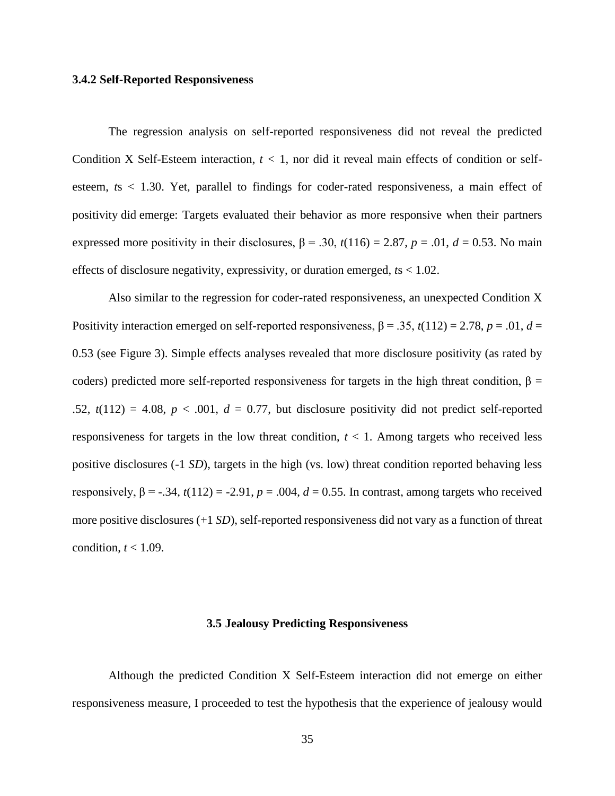#### <span id="page-43-0"></span>**3.4.2 Self-Reported Responsiveness**

The regression analysis on self-reported responsiveness did not reveal the predicted Condition X Self-Esteem interaction, *t <* 1, nor did it reveal main effects of condition or selfesteem, *t*s < 1.30. Yet, parallel to findings for coder-rated responsiveness, a main effect of positivity did emerge: Targets evaluated their behavior as more responsive when their partners expressed more positivity in their disclosures,  $β = .30$ ,  $t(116) = 2.87$ ,  $p = .01$ ,  $d = 0.53$ . No main effects of disclosure negativity, expressivity, or duration emerged, *t*s < 1.02.

Also similar to the regression for coder-rated responsiveness, an unexpected Condition X Positivity interaction emerged on self-reported responsiveness,  $\beta = 0.35$ ,  $t(112) = 2.78$ ,  $p = 0.01$ ,  $d =$ 0.53 (see Figure 3). Simple effects analyses revealed that more disclosure positivity (as rated by coders) predicted more self-reported responsiveness for targets in the high threat condition,  $\beta$  = .52,  $t(112) = 4.08$ ,  $p < .001$ ,  $d = 0.77$ , but disclosure positivity did not predict self-reported responsiveness for targets in the low threat condition,  $t < 1$ . Among targets who received less positive disclosures (-1 *SD*), targets in the high (vs. low) threat condition reported behaving less responsively,  $β = -.34$ ,  $t(112) = -2.91$ ,  $p = .004$ ,  $d = 0.55$ . In contrast, among targets who received more positive disclosures (+1 *SD*), self-reported responsiveness did not vary as a function of threat condition,  $t < 1.09$ .

#### **3.5 Jealousy Predicting Responsiveness**

<span id="page-43-1"></span>Although the predicted Condition X Self-Esteem interaction did not emerge on either responsiveness measure, I proceeded to test the hypothesis that the experience of jealousy would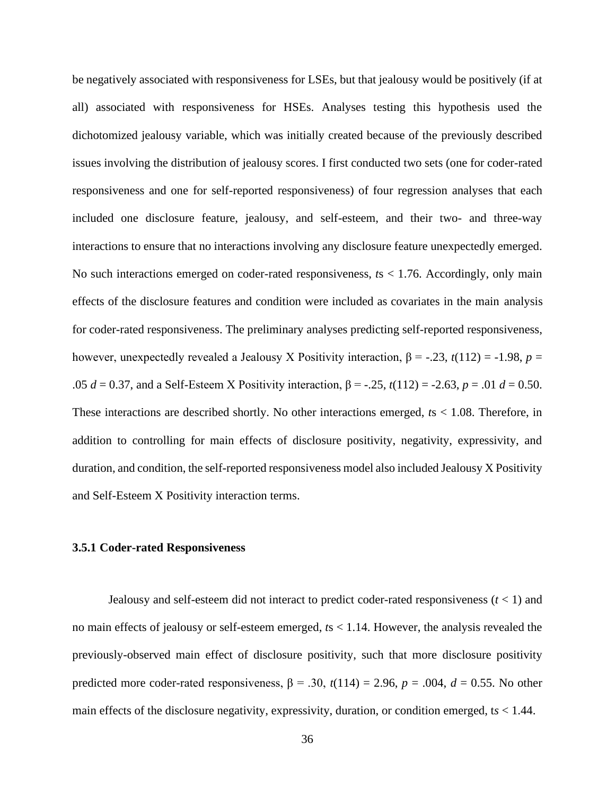be negatively associated with responsiveness for LSEs, but that jealousy would be positively (if at all) associated with responsiveness for HSEs. Analyses testing this hypothesis used the dichotomized jealousy variable, which was initially created because of the previously described issues involving the distribution of jealousy scores. I first conducted two sets (one for coder-rated responsiveness and one for self-reported responsiveness) of four regression analyses that each included one disclosure feature, jealousy, and self-esteem, and their two- and three-way interactions to ensure that no interactions involving any disclosure feature unexpectedly emerged. No such interactions emerged on coder-rated responsiveness, *t*s < 1.76. Accordingly, only main effects of the disclosure features and condition were included as covariates in the main analysis for coder-rated responsiveness. The preliminary analyses predicting self-reported responsiveness, however, unexpectedly revealed a Jealousy X Positivity interaction, β = -.23, *t*(112) = -1.98, *p* = .05 *d* = 0.37, and a Self-Esteem X Positivity interaction, β = -.25, *t*(112) = -2.63, *p* = .01 *d* = 0.50. These interactions are described shortly. No other interactions emerged, *t*s < 1.08. Therefore, in addition to controlling for main effects of disclosure positivity, negativity, expressivity, and duration, and condition, the self-reported responsiveness model also included Jealousy X Positivity and Self-Esteem X Positivity interaction terms.

#### <span id="page-44-0"></span>**3.5.1 Coder-rated Responsiveness**

Jealousy and self-esteem did not interact to predict coder-rated responsiveness  $(t < 1)$  and no main effects of jealousy or self-esteem emerged, *t*s < 1.14. However, the analysis revealed the previously-observed main effect of disclosure positivity, such that more disclosure positivity predicted more coder-rated responsiveness,  $β = .30$ ,  $t(114) = 2.96$ ,  $p = .004$ ,  $d = 0.55$ . No other main effects of the disclosure negativity, expressivity, duration, or condition emerged,  $ts < 1.44$ .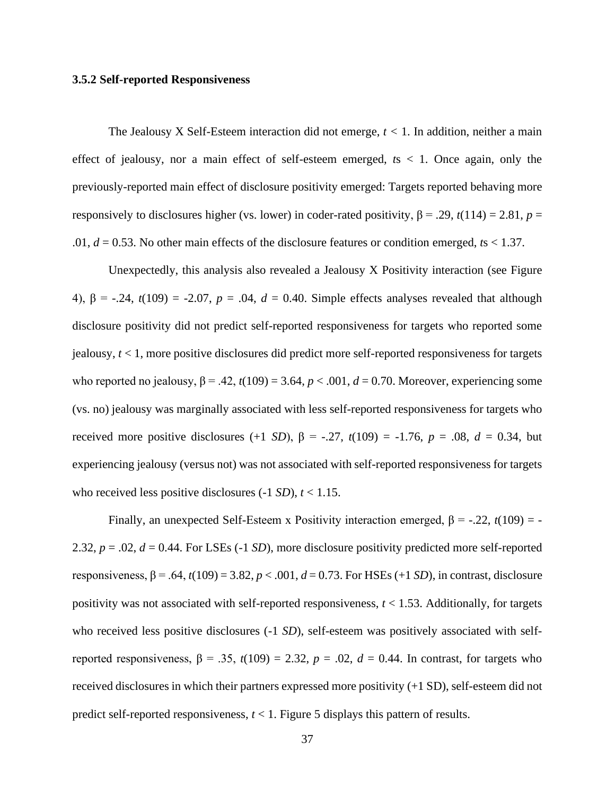#### <span id="page-45-0"></span>**3.5.2 Self-reported Responsiveness**

The Jealousy X Self-Esteem interaction did not emerge, *t <* 1. In addition, neither a main effect of jealousy, nor a main effect of self-esteem emerged, *t*s < 1. Once again, only the previously-reported main effect of disclosure positivity emerged: Targets reported behaving more responsively to disclosures higher (vs. lower) in coder-rated positivity,  $β = .29$ ,  $t(114) = 2.81$ ,  $p =$ .01, *d* = 0.53. No other main effects of the disclosure features or condition emerged, *t*s < 1.37.

Unexpectedly, this analysis also revealed a Jealousy X Positivity interaction (see Figure 4), β = -.24, *t*(109) = -2.07, *p* = .04, *d* = 0.40. Simple effects analyses revealed that although disclosure positivity did not predict self-reported responsiveness for targets who reported some jealousy, *t* < 1, more positive disclosures did predict more self-reported responsiveness for targets who reported no jealousy,  $\beta = .42$ ,  $t(109) = 3.64$ ,  $p < .001$ ,  $d = 0.70$ . Moreover, experiencing some (vs. no) jealousy was marginally associated with less self-reported responsiveness for targets who received more positive disclosures (+1 *SD*),  $β = -.27, t(109) = -1.76, p = .08, d = 0.34$ , but experiencing jealousy (versus not) was not associated with self-reported responsiveness for targets who received less positive disclosures  $(-1 SD)$ ,  $t < 1.15$ .

Finally, an unexpected Self-Esteem x Positivity interaction emerged,  $\beta$  = -.22, *t*(109) = -2.32,  $p = .02$ ,  $d = 0.44$ . For LSEs (-1 *SD*), more disclosure positivity predicted more self-reported responsiveness,  $β = .64$ ,  $t(109) = 3.82$ ,  $p < .001$ ,  $d = 0.73$ . For HSEs (+1 *SD*), in contrast, disclosure positivity was not associated with self-reported responsiveness,  $t < 1.53$ . Additionally, for targets who received less positive disclosures (-1 *SD*), self-esteem was positively associated with selfreported responsiveness,  $β = .35$ ,  $t(109) = 2.32$ ,  $p = .02$ ,  $d = 0.44$ . In contrast, for targets who received disclosures in which their partners expressed more positivity (+1 SD), self-esteem did not predict self-reported responsiveness, *t* < 1. Figure 5 displays this pattern of results.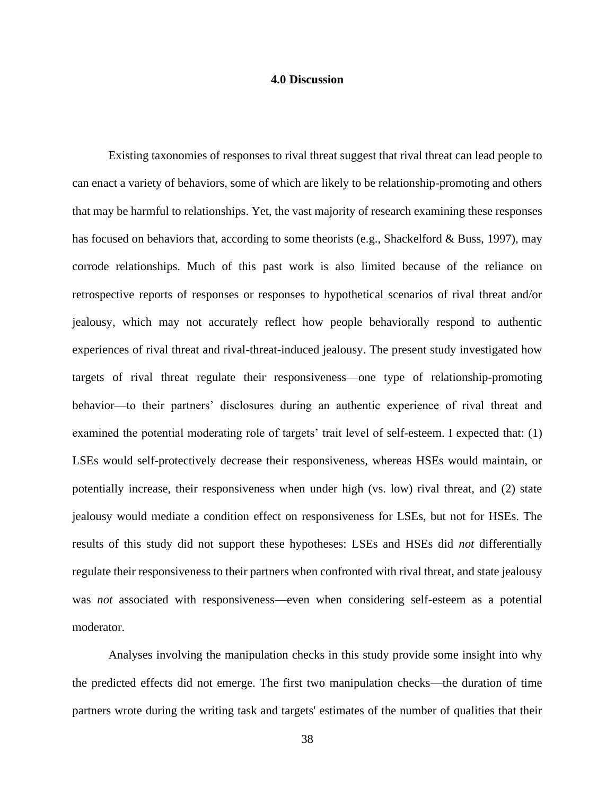#### **4.0 Discussion**

<span id="page-46-0"></span>Existing taxonomies of responses to rival threat suggest that rival threat can lead people to can enact a variety of behaviors, some of which are likely to be relationship-promoting and others that may be harmful to relationships. Yet, the vast majority of research examining these responses has focused on behaviors that, according to some theorists (e.g., Shackelford & Buss, 1997), may corrode relationships. Much of this past work is also limited because of the reliance on retrospective reports of responses or responses to hypothetical scenarios of rival threat and/or jealousy, which may not accurately reflect how people behaviorally respond to authentic experiences of rival threat and rival-threat-induced jealousy. The present study investigated how targets of rival threat regulate their responsiveness—one type of relationship-promoting behavior—to their partners' disclosures during an authentic experience of rival threat and examined the potential moderating role of targets' trait level of self-esteem. I expected that: (1) LSEs would self-protectively decrease their responsiveness, whereas HSEs would maintain, or potentially increase, their responsiveness when under high (vs. low) rival threat, and (2) state jealousy would mediate a condition effect on responsiveness for LSEs, but not for HSEs. The results of this study did not support these hypotheses: LSEs and HSEs did *not* differentially regulate their responsiveness to their partners when confronted with rival threat, and state jealousy was *not* associated with responsiveness—even when considering self-esteem as a potential moderator.

Analyses involving the manipulation checks in this study provide some insight into why the predicted effects did not emerge. The first two manipulation checks—the duration of time partners wrote during the writing task and targets' estimates of the number of qualities that their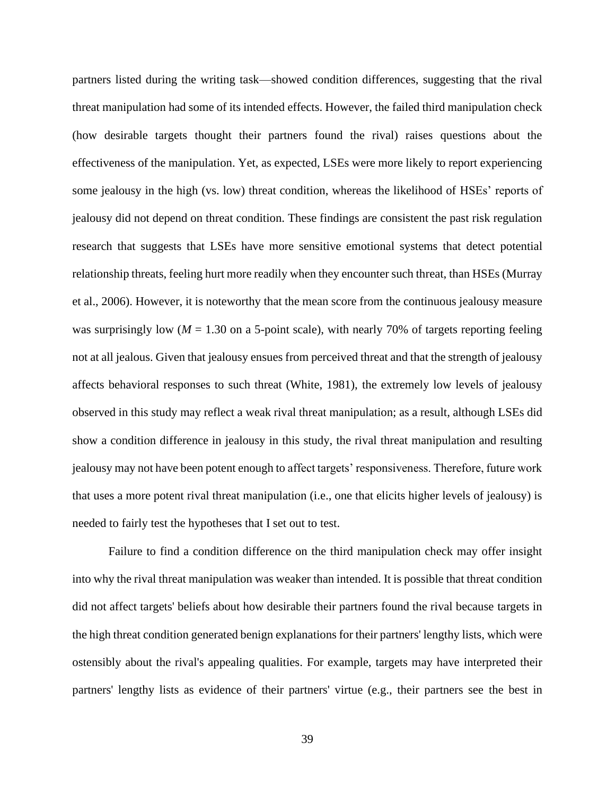partners listed during the writing task—showed condition differences, suggesting that the rival threat manipulation had some of its intended effects. However, the failed third manipulation check (how desirable targets thought their partners found the rival) raises questions about the effectiveness of the manipulation. Yet, as expected, LSEs were more likely to report experiencing some jealousy in the high (vs. low) threat condition, whereas the likelihood of HSEs' reports of jealousy did not depend on threat condition. These findings are consistent the past risk regulation research that suggests that LSEs have more sensitive emotional systems that detect potential relationship threats, feeling hurt more readily when they encounter such threat, than HSEs (Murray et al., 2006). However, it is noteworthy that the mean score from the continuous jealousy measure was surprisingly low ( $M = 1.30$  on a 5-point scale), with nearly 70% of targets reporting feeling not at all jealous. Given that jealousy ensues from perceived threat and that the strength of jealousy affects behavioral responses to such threat (White, 1981), the extremely low levels of jealousy observed in this study may reflect a weak rival threat manipulation; as a result, although LSEs did show a condition difference in jealousy in this study, the rival threat manipulation and resulting jealousy may not have been potent enough to affect targets' responsiveness. Therefore, future work that uses a more potent rival threat manipulation (i.e., one that elicits higher levels of jealousy) is needed to fairly test the hypotheses that I set out to test.

Failure to find a condition difference on the third manipulation check may offer insight into why the rival threat manipulation was weaker than intended. It is possible that threat condition did not affect targets' beliefs about how desirable their partners found the rival because targets in the high threat condition generated benign explanations for their partners' lengthy lists, which were ostensibly about the rival's appealing qualities. For example, targets may have interpreted their partners' lengthy lists as evidence of their partners' virtue (e.g., their partners see the best in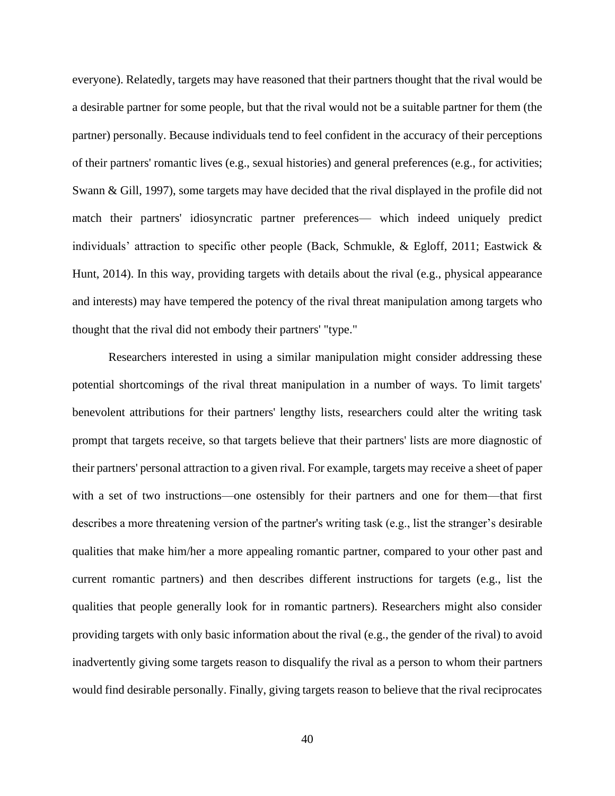everyone). Relatedly, targets may have reasoned that their partners thought that the rival would be a desirable partner for some people, but that the rival would not be a suitable partner for them (the partner) personally. Because individuals tend to feel confident in the accuracy of their perceptions of their partners' romantic lives (e.g., sexual histories) and general preferences (e.g., for activities; Swann & Gill, 1997), some targets may have decided that the rival displayed in the profile did not match their partners' idiosyncratic partner preferences— which indeed uniquely predict individuals' attraction to specific other people (Back, Schmukle, & Egloff, 2011; Eastwick  $\&$ Hunt, 2014). In this way, providing targets with details about the rival (e.g., physical appearance and interests) may have tempered the potency of the rival threat manipulation among targets who thought that the rival did not embody their partners' "type."

Researchers interested in using a similar manipulation might consider addressing these potential shortcomings of the rival threat manipulation in a number of ways. To limit targets' benevolent attributions for their partners' lengthy lists, researchers could alter the writing task prompt that targets receive, so that targets believe that their partners' lists are more diagnostic of their partners' personal attraction to a given rival. For example, targets may receive a sheet of paper with a set of two instructions—one ostensibly for their partners and one for them—that first describes a more threatening version of the partner's writing task (e.g., list the stranger's desirable qualities that make him/her a more appealing romantic partner, compared to your other past and current romantic partners) and then describes different instructions for targets (e.g., list the qualities that people generally look for in romantic partners). Researchers might also consider providing targets with only basic information about the rival (e.g., the gender of the rival) to avoid inadvertently giving some targets reason to disqualify the rival as a person to whom their partners would find desirable personally. Finally, giving targets reason to believe that the rival reciprocates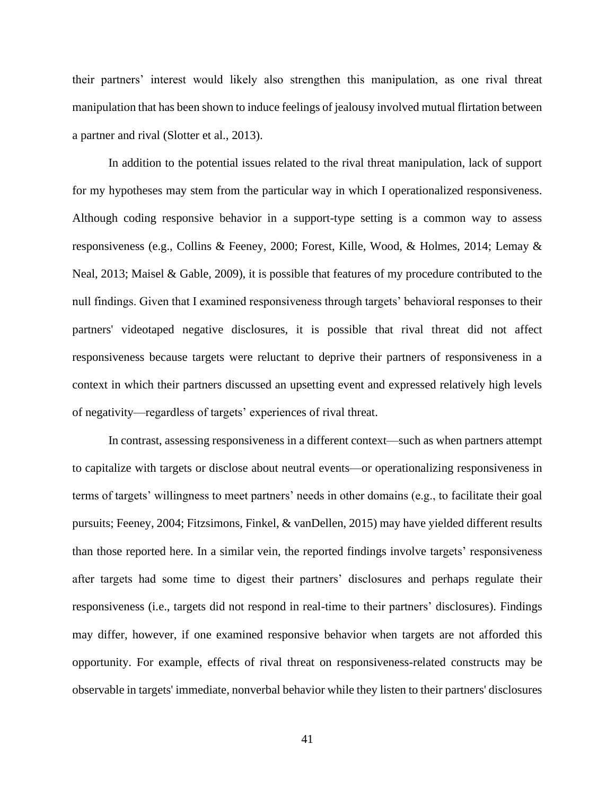their partners' interest would likely also strengthen this manipulation, as one rival threat manipulation that has been shown to induce feelings of jealousy involved mutual flirtation between a partner and rival (Slotter et al., 2013).

In addition to the potential issues related to the rival threat manipulation, lack of support for my hypotheses may stem from the particular way in which I operationalized responsiveness. Although coding responsive behavior in a support-type setting is a common way to assess responsiveness (e.g., Collins & Feeney, 2000; Forest, Kille, Wood, & Holmes, 2014; Lemay & Neal, 2013; Maisel & Gable, 2009), it is possible that features of my procedure contributed to the null findings. Given that I examined responsiveness through targets' behavioral responses to their partners' videotaped negative disclosures, it is possible that rival threat did not affect responsiveness because targets were reluctant to deprive their partners of responsiveness in a context in which their partners discussed an upsetting event and expressed relatively high levels of negativity—regardless of targets' experiences of rival threat.

In contrast, assessing responsiveness in a different context—such as when partners attempt to capitalize with targets or disclose about neutral events—or operationalizing responsiveness in terms of targets' willingness to meet partners' needs in other domains (e.g., to facilitate their goal pursuits; Feeney, 2004; Fitzsimons, Finkel, & vanDellen, 2015) may have yielded different results than those reported here. In a similar vein, the reported findings involve targets' responsiveness after targets had some time to digest their partners' disclosures and perhaps regulate their responsiveness (i.e., targets did not respond in real-time to their partners' disclosures). Findings may differ, however, if one examined responsive behavior when targets are not afforded this opportunity. For example, effects of rival threat on responsiveness-related constructs may be observable in targets' immediate, nonverbal behavior while they listen to their partners' disclosures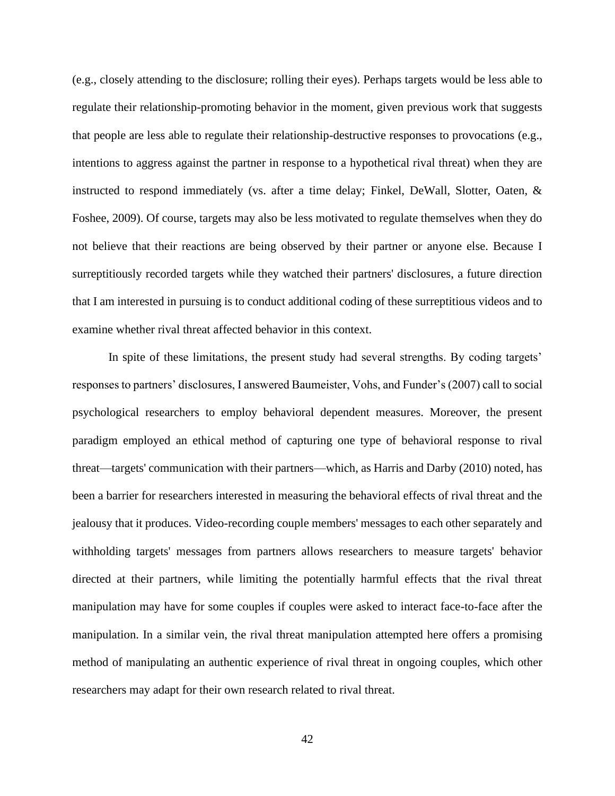(e.g., closely attending to the disclosure; rolling their eyes). Perhaps targets would be less able to regulate their relationship-promoting behavior in the moment, given previous work that suggests that people are less able to regulate their relationship-destructive responses to provocations (e.g., intentions to aggress against the partner in response to a hypothetical rival threat) when they are instructed to respond immediately (vs. after a time delay; Finkel, DeWall, Slotter, Oaten,  $\&$ Foshee, 2009). Of course, targets may also be less motivated to regulate themselves when they do not believe that their reactions are being observed by their partner or anyone else. Because I surreptitiously recorded targets while they watched their partners' disclosures, a future direction that I am interested in pursuing is to conduct additional coding of these surreptitious videos and to examine whether rival threat affected behavior in this context.

In spite of these limitations, the present study had several strengths. By coding targets' responses to partners' disclosures, I answered Baumeister, Vohs, and Funder's (2007) call to social psychological researchers to employ behavioral dependent measures. Moreover, the present paradigm employed an ethical method of capturing one type of behavioral response to rival threat—targets' communication with their partners—which, as Harris and Darby (2010) noted, has been a barrier for researchers interested in measuring the behavioral effects of rival threat and the jealousy that it produces. Video-recording couple members' messages to each other separately and withholding targets' messages from partners allows researchers to measure targets' behavior directed at their partners, while limiting the potentially harmful effects that the rival threat manipulation may have for some couples if couples were asked to interact face-to-face after the manipulation. In a similar vein, the rival threat manipulation attempted here offers a promising method of manipulating an authentic experience of rival threat in ongoing couples, which other researchers may adapt for their own research related to rival threat.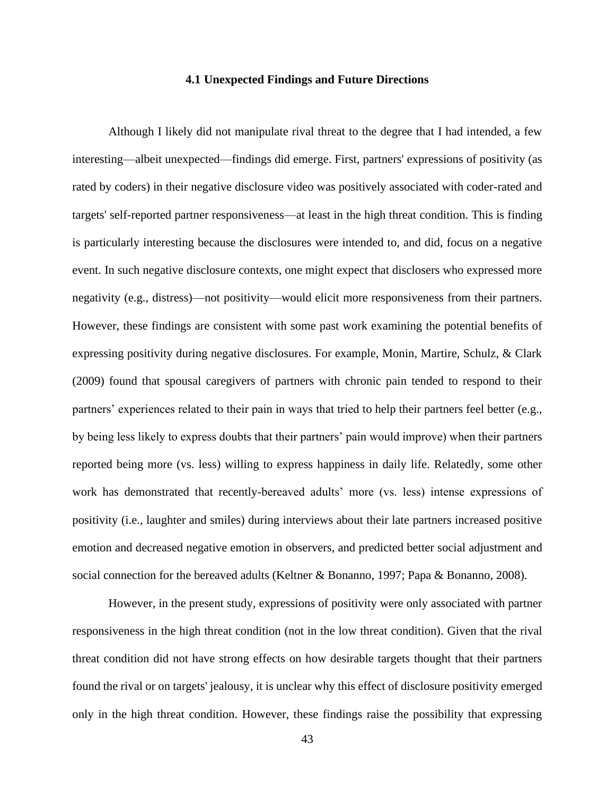#### **4.1 Unexpected Findings and Future Directions**

<span id="page-51-0"></span>Although I likely did not manipulate rival threat to the degree that I had intended, a few interesting—albeit unexpected—findings did emerge. First, partners' expressions of positivity (as rated by coders) in their negative disclosure video was positively associated with coder-rated and targets' self-reported partner responsiveness—at least in the high threat condition. This is finding is particularly interesting because the disclosures were intended to, and did, focus on a negative event. In such negative disclosure contexts, one might expect that disclosers who expressed more negativity (e.g., distress)—not positivity—would elicit more responsiveness from their partners. However, these findings are consistent with some past work examining the potential benefits of expressing positivity during negative disclosures. For example, Monin, Martire, Schulz, & Clark (2009) found that spousal caregivers of partners with chronic pain tended to respond to their partners' experiences related to their pain in ways that tried to help their partners feel better (e.g., by being less likely to express doubts that their partners' pain would improve) when their partners reported being more (vs. less) willing to express happiness in daily life. Relatedly, some other work has demonstrated that recently-bereaved adults' more (vs. less) intense expressions of positivity (i.e., laughter and smiles) during interviews about their late partners increased positive emotion and decreased negative emotion in observers, and predicted better social adjustment and social connection for the bereaved adults (Keltner & Bonanno, 1997; Papa & Bonanno, 2008).

However, in the present study, expressions of positivity were only associated with partner responsiveness in the high threat condition (not in the low threat condition). Given that the rival threat condition did not have strong effects on how desirable targets thought that their partners found the rival or on targets' jealousy, it is unclear why this effect of disclosure positivity emerged only in the high threat condition. However, these findings raise the possibility that expressing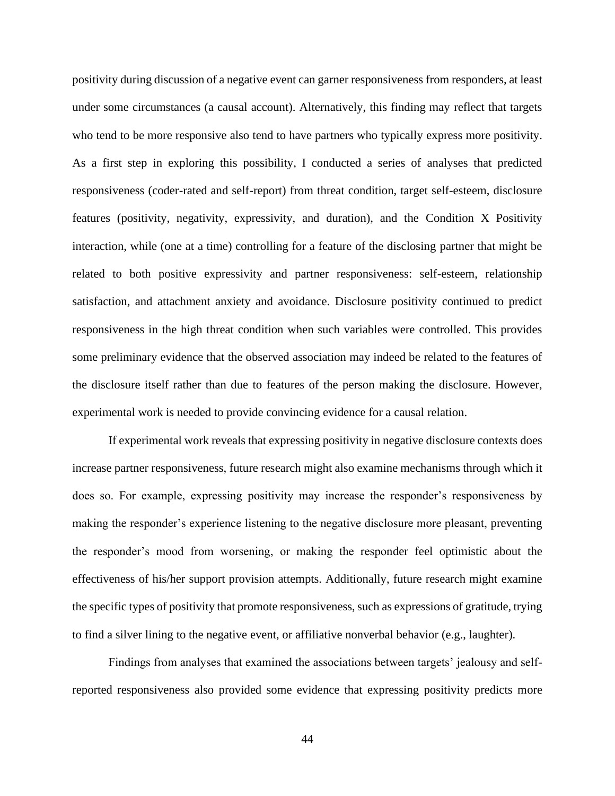positivity during discussion of a negative event can garner responsiveness from responders, at least under some circumstances (a causal account). Alternatively, this finding may reflect that targets who tend to be more responsive also tend to have partners who typically express more positivity. As a first step in exploring this possibility, I conducted a series of analyses that predicted responsiveness (coder-rated and self-report) from threat condition, target self-esteem, disclosure features (positivity, negativity, expressivity, and duration), and the Condition X Positivity interaction, while (one at a time) controlling for a feature of the disclosing partner that might be related to both positive expressivity and partner responsiveness: self-esteem, relationship satisfaction, and attachment anxiety and avoidance. Disclosure positivity continued to predict responsiveness in the high threat condition when such variables were controlled. This provides some preliminary evidence that the observed association may indeed be related to the features of the disclosure itself rather than due to features of the person making the disclosure. However, experimental work is needed to provide convincing evidence for a causal relation.

If experimental work reveals that expressing positivity in negative disclosure contexts does increase partner responsiveness, future research might also examine mechanisms through which it does so. For example, expressing positivity may increase the responder's responsiveness by making the responder's experience listening to the negative disclosure more pleasant, preventing the responder's mood from worsening, or making the responder feel optimistic about the effectiveness of his/her support provision attempts. Additionally, future research might examine the specific types of positivity that promote responsiveness, such as expressions of gratitude, trying to find a silver lining to the negative event, or affiliative nonverbal behavior (e.g., laughter).

Findings from analyses that examined the associations between targets' jealousy and selfreported responsiveness also provided some evidence that expressing positivity predicts more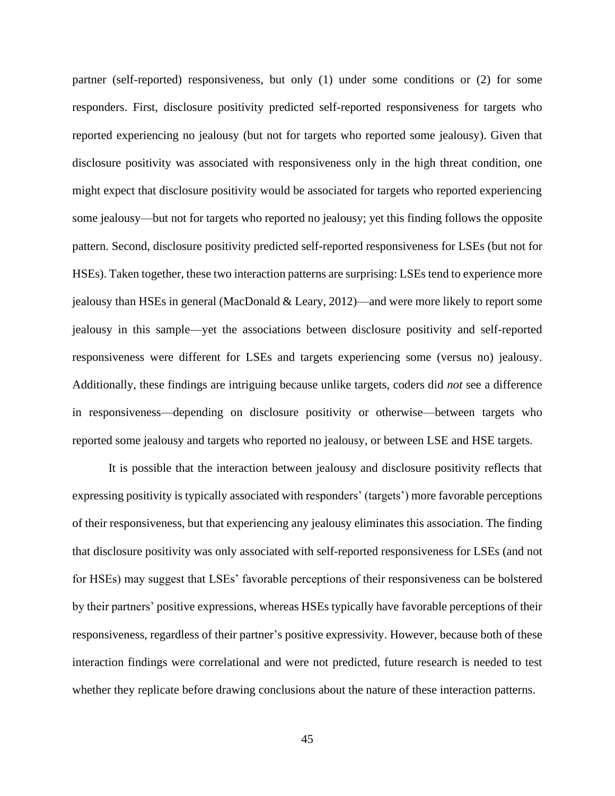partner (self-reported) responsiveness, but only (1) under some conditions or (2) for some responders. First, disclosure positivity predicted self-reported responsiveness for targets who reported experiencing no jealousy (but not for targets who reported some jealousy). Given that disclosure positivity was associated with responsiveness only in the high threat condition, one might expect that disclosure positivity would be associated for targets who reported experiencing some jealousy—but not for targets who reported no jealousy; yet this finding follows the opposite pattern. Second, disclosure positivity predicted self-reported responsiveness for LSEs (but not for HSEs). Taken together, these two interaction patterns are surprising: LSEs tend to experience more jealousy than HSEs in general (MacDonald & Leary, 2012)—and were more likely to report some jealousy in this sample—yet the associations between disclosure positivity and self-reported responsiveness were different for LSEs and targets experiencing some (versus no) jealousy. Additionally, these findings are intriguing because unlike targets, coders did *not* see a difference in responsiveness—depending on disclosure positivity or otherwise—between targets who reported some jealousy and targets who reported no jealousy, or between LSE and HSE targets.

It is possible that the interaction between jealousy and disclosure positivity reflects that expressing positivity is typically associated with responders' (targets') more favorable perceptions of their responsiveness, but that experiencing any jealousy eliminates this association. The finding that disclosure positivity was only associated with self-reported responsiveness for LSEs (and not for HSEs) may suggest that LSEs' favorable perceptions of their responsiveness can be bolstered by their partners' positive expressions, whereas HSEs typically have favorable perceptions of their responsiveness, regardless of their partner's positive expressivity. However, because both of these interaction findings were correlational and were not predicted, future research is needed to test whether they replicate before drawing conclusions about the nature of these interaction patterns.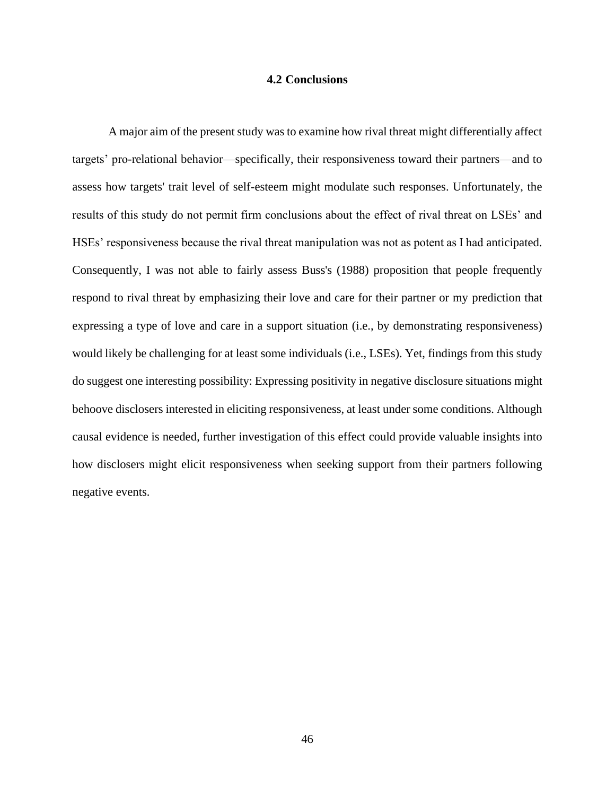#### **4.2 Conclusions**

<span id="page-54-0"></span>A major aim of the present study was to examine how rival threat might differentially affect targets' pro-relational behavior—specifically, their responsiveness toward their partners—and to assess how targets' trait level of self-esteem might modulate such responses. Unfortunately, the results of this study do not permit firm conclusions about the effect of rival threat on LSEs' and HSEs' responsiveness because the rival threat manipulation was not as potent as I had anticipated. Consequently, I was not able to fairly assess Buss's (1988) proposition that people frequently respond to rival threat by emphasizing their love and care for their partner or my prediction that expressing a type of love and care in a support situation (i.e., by demonstrating responsiveness) would likely be challenging for at least some individuals (i.e., LSEs). Yet, findings from this study do suggest one interesting possibility: Expressing positivity in negative disclosure situations might behoove disclosers interested in eliciting responsiveness, at least under some conditions. Although causal evidence is needed, further investigation of this effect could provide valuable insights into how disclosers might elicit responsiveness when seeking support from their partners following negative events.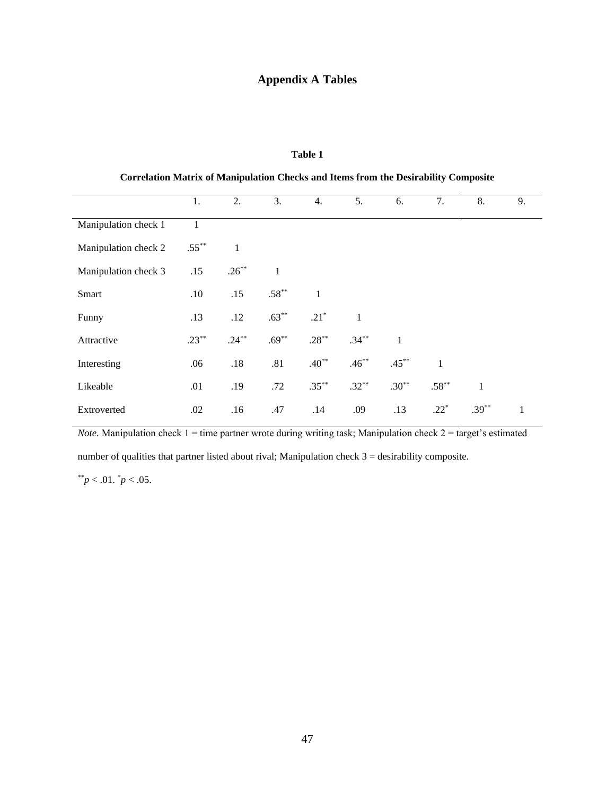# **Appendix A Tables**

#### **Table 1**

<span id="page-55-1"></span>

|                      | 1.           | 2.           | 3.           | 4.                 | 5.           | 6.           | 7.           | 8.           | 9.           |
|----------------------|--------------|--------------|--------------|--------------------|--------------|--------------|--------------|--------------|--------------|
| Manipulation check 1 | $\mathbf{1}$ |              |              |                    |              |              |              |              |              |
| Manipulation check 2 | $.55***$     | $\mathbf{1}$ |              |                    |              |              |              |              |              |
| Manipulation check 3 | .15          | $.26***$     | $\mathbf{1}$ |                    |              |              |              |              |              |
| Smart                | .10          | .15          | $.58***$     | $\mathbf{1}$       |              |              |              |              |              |
| Funny                | .13          | .12          | $.63***$     | $.21$ <sup>*</sup> | $\mathbf{1}$ |              |              |              |              |
| Attractive           | $.23***$     | $.24***$     | $.69***$     | $.28***$           | $.34***$     | $\mathbf{1}$ |              |              |              |
| Interesting          | .06          | .18          | .81          | $.40**$            | $.46***$     | $.45***$     | $\mathbf{1}$ |              |              |
| Likeable             | .01          | .19          | .72          | $.35***$           | $.32***$     | $.30***$     | $.58***$     | $\mathbf{1}$ |              |
| Extroverted          | .02          | .16          | .47          | .14                | .09          | .13          | $.22*$       | $.39***$     | $\mathbf{1}$ |

<span id="page-55-0"></span>**Correlation Matrix of Manipulation Checks and Items from the Desirability Composite**

*Note.* Manipulation check 1 = time partner wrote during writing task; Manipulation check 2 = target's estimated

number of qualities that partner listed about rival; Manipulation check 3 = desirability composite.

 $*$ <sup>\*</sup>*p* < .01. *\*p* < .05.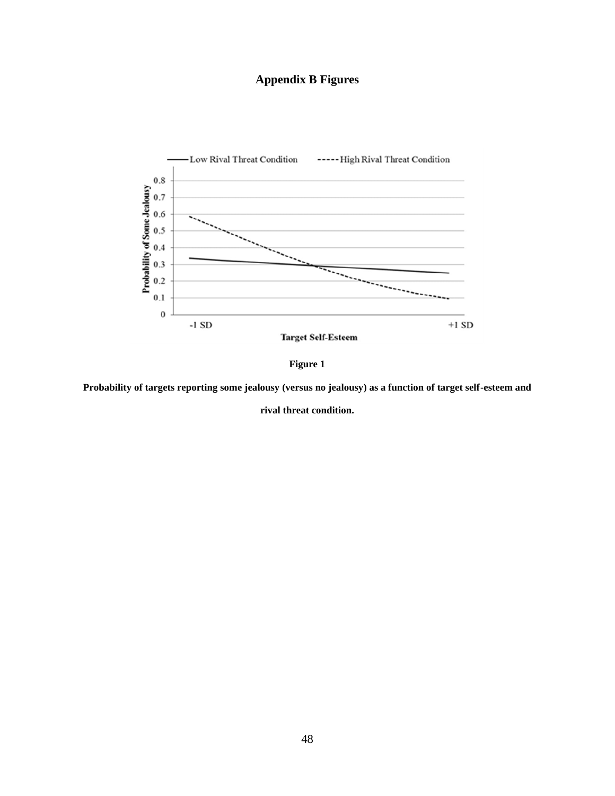# **Appendix B Figures**

<span id="page-56-0"></span>



<span id="page-56-1"></span>**Probability of targets reporting some jealousy (versus no jealousy) as a function of target self-esteem and** 

**rival threat condition.**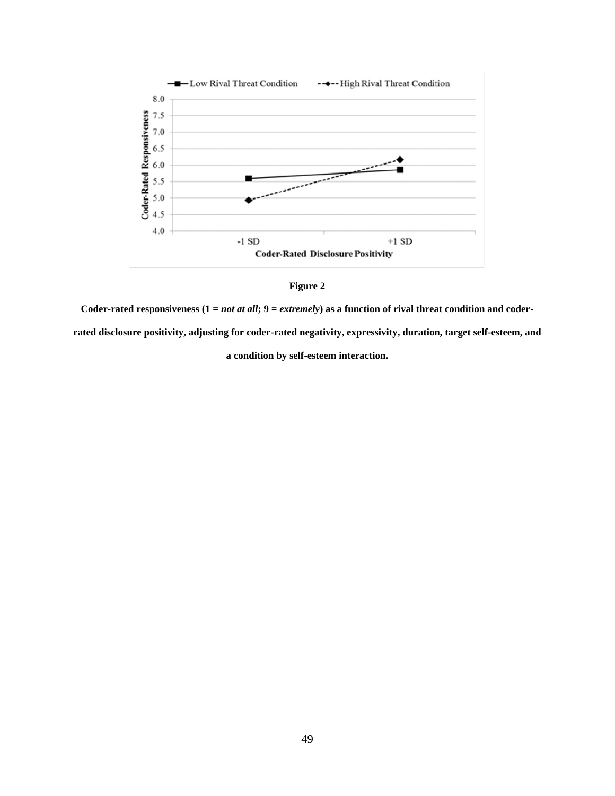

**Figure 2**

<span id="page-57-0"></span>**Coder-rated responsiveness (1 =** *not at all***; 9 =** *extremely***) as a function of rival threat condition and coder-**

**rated disclosure positivity, adjusting for coder-rated negativity, expressivity, duration, target self-esteem, and** 

**a condition by self-esteem interaction.**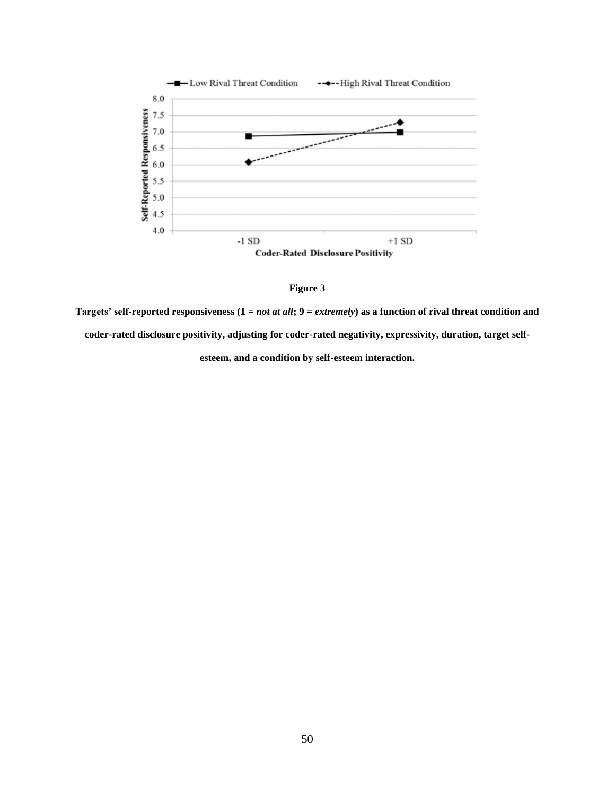



<span id="page-58-0"></span>**Targets' self-reported responsiveness (1 =** *not at all***; 9 =** *extremely***) as a function of rival threat condition and coder-rated disclosure positivity, adjusting for coder-rated negativity, expressivity, duration, target self-**

**esteem, and a condition by self-esteem interaction.**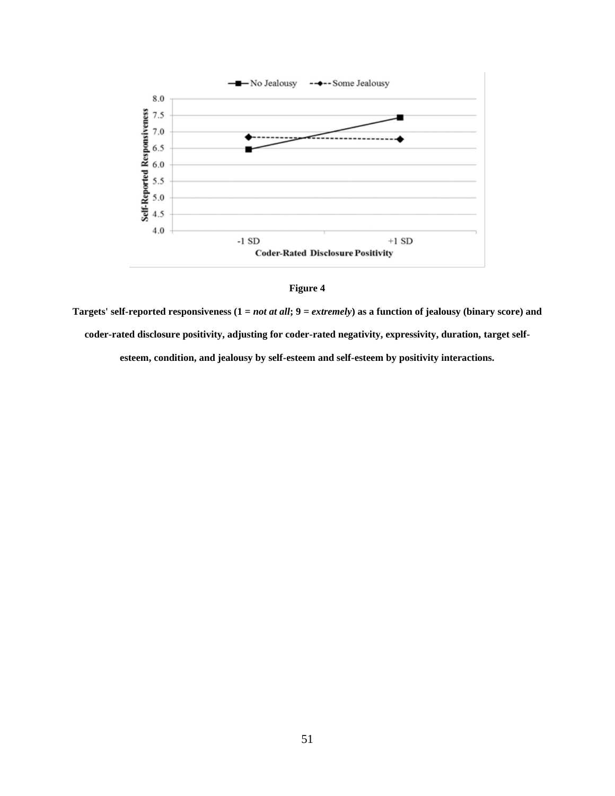



<span id="page-59-0"></span>**Targets' self-reported responsiveness (1 =** *not at all***; 9 =** *extremely***) as a function of jealousy (binary score) and coder-rated disclosure positivity, adjusting for coder-rated negativity, expressivity, duration, target selfesteem, condition, and jealousy by self-esteem and self-esteem by positivity interactions.**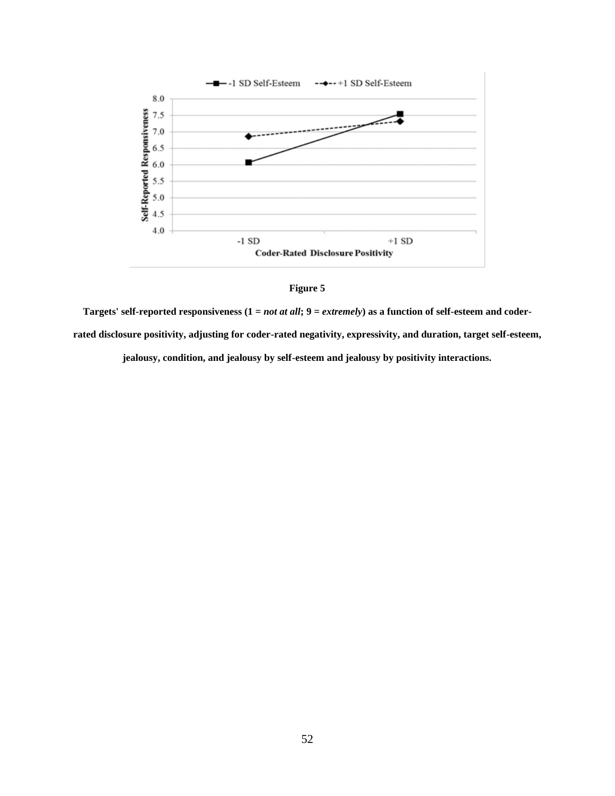

**Figure 5**

<span id="page-60-0"></span>**Targets' self-reported responsiveness (1 =** *not at all***; 9 =** *extremely***) as a function of self-esteem and coderrated disclosure positivity, adjusting for coder-rated negativity, expressivity, and duration, target self-esteem,** 

**jealousy, condition, and jealousy by self-esteem and jealousy by positivity interactions.**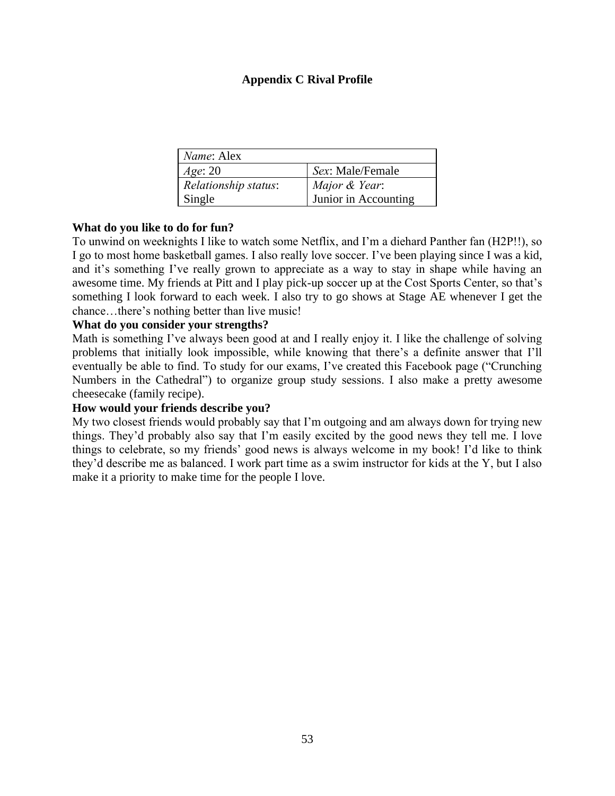## **Appendix C Rival Profile**

<span id="page-61-0"></span>

| <i>Name</i> : Alex   |                      |
|----------------------|----------------------|
| Age: 20              | Sex: Male/Female     |
| Relationship status: | Major & Year:        |
| Single               | Junior in Accounting |

## **What do you like to do for fun?**

To unwind on weeknights I like to watch some Netflix, and I'm a diehard Panther fan (H2P!!), so I go to most home basketball games. I also really love soccer. I've been playing since I was a kid, and it's something I've really grown to appreciate as a way to stay in shape while having an awesome time. My friends at Pitt and I play pick-up soccer up at the Cost Sports Center, so that's something I look forward to each week. I also try to go shows at Stage AE whenever I get the chance…there's nothing better than live music!

## **What do you consider your strengths?**

Math is something I've always been good at and I really enjoy it. I like the challenge of solving problems that initially look impossible, while knowing that there's a definite answer that I'll eventually be able to find. To study for our exams, I've created this Facebook page ("Crunching Numbers in the Cathedral") to organize group study sessions. I also make a pretty awesome cheesecake (family recipe).

## **How would your friends describe you?**

My two closest friends would probably say that I'm outgoing and am always down for trying new things. They'd probably also say that I'm easily excited by the good news they tell me. I love things to celebrate, so my friends' good news is always welcome in my book! I'd like to think they'd describe me as balanced. I work part time as a swim instructor for kids at the Y, but I also make it a priority to make time for the people I love.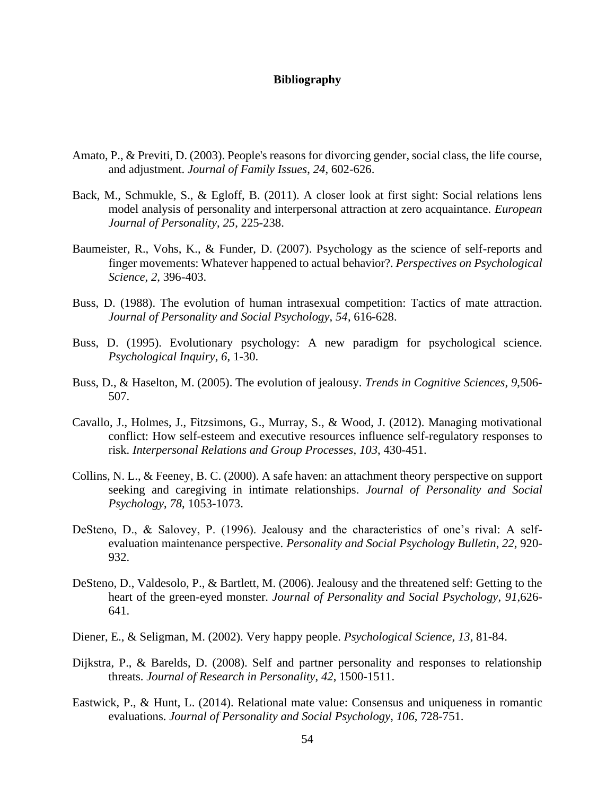#### **Bibliography**

- <span id="page-62-0"></span>Amato, P., & Previti, D. (2003). People's reasons for divorcing gender, social class, the life course, and adjustment. *Journal of Family Issues*, *24*, 602-626.
- Back, M., Schmukle, S., & Egloff, B. (2011). A closer look at first sight: Social relations lens model analysis of personality and interpersonal attraction at zero acquaintance. *European Journal of Personality*, *25*, 225-238.
- Baumeister, R., Vohs, K., & Funder, D. (2007). Psychology as the science of self-reports and finger movements: Whatever happened to actual behavior?. *Perspectives on Psychological Science*, *2*, 396-403.
- Buss, D. (1988). The evolution of human intrasexual competition: Tactics of mate attraction. *Journal of Personality and Social Psychology*, *54*, 616-628.
- Buss, D. (1995). Evolutionary psychology: A new paradigm for psychological science. *Psychological Inquiry*, *6*, 1-30.
- Buss, D., & Haselton, M. (2005). The evolution of jealousy. *Trends in Cognitive Sciences*, *9*,506- 507.
- Cavallo, J., Holmes, J., Fitzsimons, G., Murray, S., & Wood, J. (2012). Managing motivational conflict: How self-esteem and executive resources influence self-regulatory responses to risk. *Interpersonal Relations and Group Processes*, *103*, 430-451.
- Collins, N. L., & Feeney, B. C. (2000). A safe haven: an attachment theory perspective on support seeking and caregiving in intimate relationships. *Journal of Personality and Social Psychology*, *78*, 1053-1073.
- DeSteno, D., & Salovey, P. (1996). Jealousy and the characteristics of one's rival: A selfevaluation maintenance perspective. *Personality and Social Psychology Bulletin*, *22*, 920- 932.
- DeSteno, D., Valdesolo, P., & Bartlett, M. (2006). Jealousy and the threatened self: Getting to the heart of the green-eyed monster. *Journal of Personality and Social Psychology*, *91*,626- 641.
- Diener, E., & Seligman, M. (2002). Very happy people. *Psychological Science*, *13*, 81-84.
- Dijkstra, P., & Barelds, D. (2008). Self and partner personality and responses to relationship threats. *Journal of Research in Personality*, *42*, 1500-1511.
- Eastwick, P., & Hunt, L. (2014). Relational mate value: Consensus and uniqueness in romantic evaluations. *Journal of Personality and Social Psychology*, *106*, 728-751.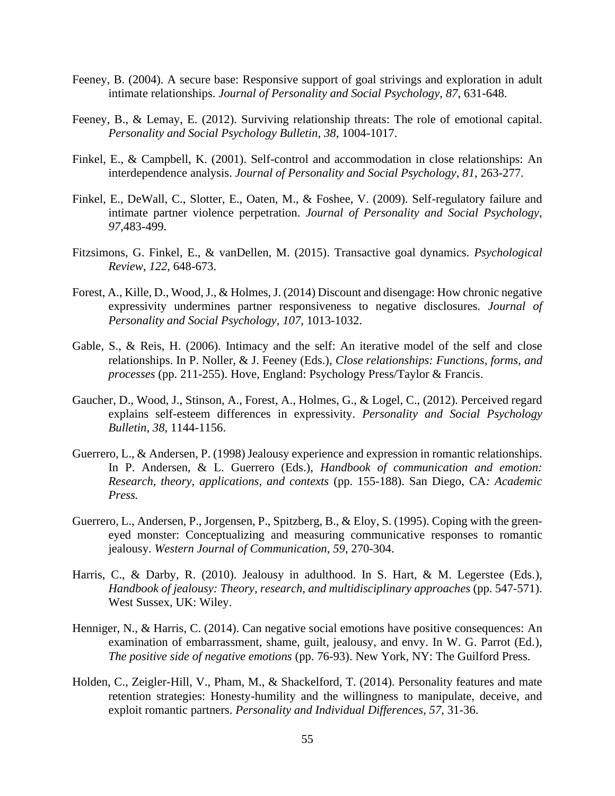- Feeney, B. (2004). A secure base: Responsive support of goal strivings and exploration in adult intimate relationships. *Journal of Personality and Social Psychology*, *87*, 631-648.
- Feeney, B., & Lemay, E. (2012). Surviving relationship threats: The role of emotional capital. *Personality and Social Psychology Bulletin*, *38*, 1004-1017.
- Finkel, E., & Campbell, K. (2001). Self-control and accommodation in close relationships: An interdependence analysis. *Journal of Personality and Social Psychology*, *81*, 263-277.
- Finkel, E., DeWall, C., Slotter, E., Oaten, M., & Foshee, V. (2009). Self-regulatory failure and intimate partner violence perpetration. *Journal of Personality and Social Psychology*, *97*,483-499.
- Fitzsimons, G. Finkel, E., & vanDellen, M. (2015). Transactive goal dynamics. *Psychological Review*, *122*, 648-673.
- Forest, A., Kille, D., Wood, J., & Holmes, J. (2014) Discount and disengage: How chronic negative expressivity undermines partner responsiveness to negative disclosures. *Journal of Personality and Social Psychology*, *107*, 1013-1032.
- Gable, S., & Reis, H. (2006). Intimacy and the self: An iterative model of the self and close relationships. In P. Noller, & J. Feeney (Eds.), *Close relationships: Functions, forms, and processes* (pp. 211-255). Hove, England: Psychology Press/Taylor & Francis.
- Gaucher, D., Wood, J., Stinson, A., Forest, A., Holmes, G., & Logel, C., (2012). Perceived regard explains self-esteem differences in expressivity. *Personality and Social Psychology Bulletin*, *38*, 1144-1156.
- Guerrero, L., & Andersen, P. (1998) Jealousy experience and expression in romantic relationships. In P. Andersen, & L. Guerrero (Eds.), *Handbook of communication and emotion: Research, theory, applications, and contexts* (pp. 155-188). San Diego, CA*: Academic Press.*
- Guerrero, L., Andersen, P., Jorgensen, P., Spitzberg, B., & Eloy, S. (1995). Coping with the greeneyed monster: Conceptualizing and measuring communicative responses to romantic jealousy. *Western Journal of Communication*, *59*, 270-304.
- Harris, C., & Darby, R. (2010). Jealousy in adulthood. In S. Hart, & M. Legerstee (Eds.), *Handbook of jealousy: Theory, research, and multidisciplinary approaches* (pp. 547-571). West Sussex, UK: Wiley.
- Henniger, N., & Harris, C. (2014). Can negative social emotions have positive consequences: An examination of embarrassment, shame, guilt, jealousy, and envy. In W. G. Parrot (Ed.), *The positive side of negative emotions* (pp. 76-93). New York, NY: The Guilford Press.
- Holden, C., Zeigler-Hill, V., Pham, M., & Shackelford, T. (2014). Personality features and mate retention strategies: Honesty-humility and the willingness to manipulate, deceive, and exploit romantic partners. *Personality and Individual Differences*, *57*, 31-36.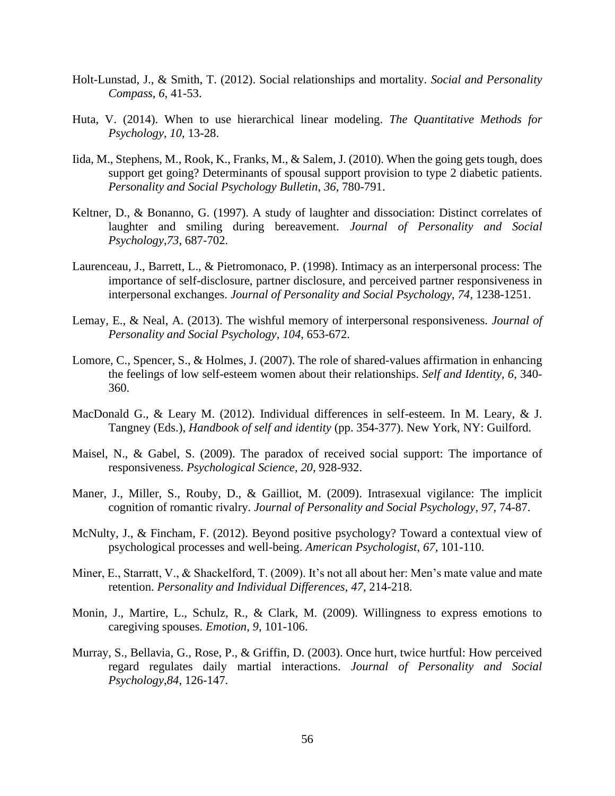- Holt-Lunstad, J., & Smith, T. (2012). Social relationships and mortality. *Social and Personality Compass*, *6*, 41-53.
- Huta, V. (2014). When to use hierarchical linear modeling. *The Quantitative Methods for Psychology*, *10*, 13-28.
- Iida, M., Stephens, M., Rook, K., Franks, M., & Salem, J. (2010). When the going gets tough, does support get going? Determinants of spousal support provision to type 2 diabetic patients. *Personality and Social Psychology Bulletin*, *36*, 780-791.
- Keltner, D., & Bonanno, G. (1997). A study of laughter and dissociation: Distinct correlates of laughter and smiling during bereavement. *Journal of Personality and Social Psychology*,*73*, 687-702.
- Laurenceau, J., Barrett, L., & Pietromonaco, P. (1998). Intimacy as an interpersonal process: The importance of self-disclosure, partner disclosure, and perceived partner responsiveness in interpersonal exchanges. *Journal of Personality and Social Psychology*, *74*, 1238-1251.
- Lemay, E., & Neal, A. (2013). The wishful memory of interpersonal responsiveness. *Journal of Personality and Social Psychology*, *104*, 653-672.
- Lomore, C., Spencer, S., & Holmes, J. (2007). The role of shared-values affirmation in enhancing the feelings of low self-esteem women about their relationships. *Self and Identity*, *6*, 340- 360.
- MacDonald G., & Leary M. (2012). Individual differences in self-esteem. In M. Leary, & J. Tangney (Eds.), *Handbook of self and identity* (pp. 354-377). New York, NY: Guilford.
- Maisel, N., & Gabel, S. (2009). The paradox of received social support: The importance of responsiveness. *Psychological Science*, *20*, 928-932.
- Maner, J., Miller, S., Rouby, D., & Gailliot, M. (2009). Intrasexual vigilance: The implicit cognition of romantic rivalry. *Journal of Personality and Social Psychology*, *97*, 74-87.
- McNulty, J., & Fincham, F. (2012). Beyond positive psychology? Toward a contextual view of psychological processes and well-being. *American Psychologist*, *67*, 101-110.
- Miner, E., Starratt, V., & Shackelford, T. (2009). It's not all about her: Men's mate value and mate retention. *Personality and Individual Differences*, *47*, 214-218.
- Monin, J., Martire, L., Schulz, R., & Clark, M. (2009). Willingness to express emotions to caregiving spouses. *Emotion*, *9*, 101-106.
- Murray, S., Bellavia, G., Rose, P., & Griffin, D. (2003). Once hurt, twice hurtful: How perceived regard regulates daily martial interactions. *Journal of Personality and Social Psychology*,*84*, 126-147.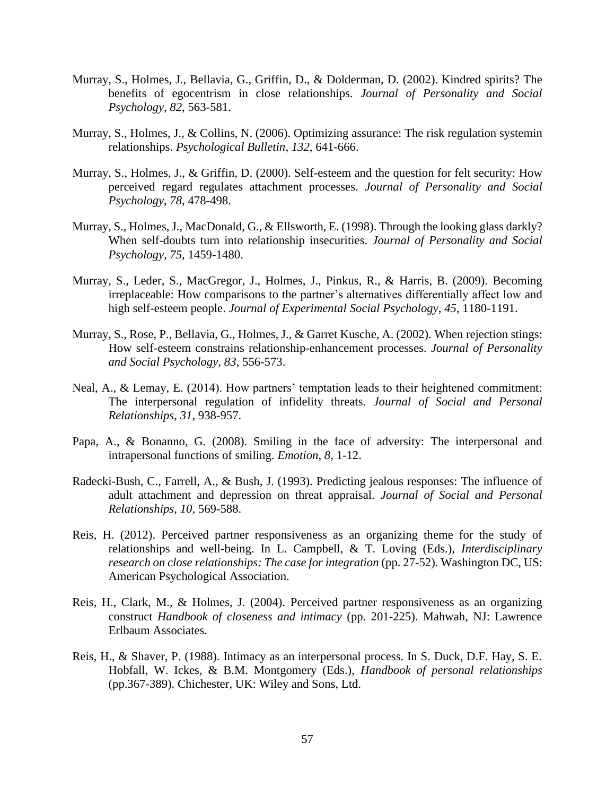- Murray, S., Holmes, J., Bellavia, G., Griffin, D., & Dolderman, D. (2002). Kindred spirits? The benefits of egocentrism in close relationships. *Journal of Personality and Social Psychology*, *82*, 563-581.
- Murray, S., Holmes, J., & Collins, N. (2006). Optimizing assurance: The risk regulation systemin relationships. *Psychological Bulletin*, *132*, 641-666.
- Murray, S., Holmes, J., & Griffin, D. (2000). Self-esteem and the question for felt security: How perceived regard regulates attachment processes. *Journal of Personality and Social Psychology*, *78*, 478-498.
- Murray, S., Holmes, J., MacDonald, G., & Ellsworth, E. (1998). Through the looking glass darkly? When self-doubts turn into relationship insecurities. *Journal of Personality and Social Psychology*, *75*, 1459-1480.
- Murray, S., Leder, S., MacGregor, J., Holmes, J., Pinkus, R., & Harris, B. (2009). Becoming irreplaceable: How comparisons to the partner's alternatives differentially affect low and high self-esteem people. *Journal of Experimental Social Psychology*, *45*, 1180-1191.
- Murray, S., Rose, P., Bellavia, G., Holmes, J., & Garret Kusche, A. (2002). When rejection stings: How self-esteem constrains relationship-enhancement processes. *Journal of Personality and Social Psychology*, *83*, 556-573.
- Neal, A., & Lemay, E. (2014). How partners' temptation leads to their heightened commitment: The interpersonal regulation of infidelity threats. *Journal of Social and Personal Relationships*, *31*, 938-957.
- Papa, A., & Bonanno, G. (2008). Smiling in the face of adversity: The interpersonal and intrapersonal functions of smiling. *Emotion*, *8*, 1-12.
- Radecki-Bush, C., Farrell, A., & Bush, J. (1993). Predicting jealous responses: The influence of adult attachment and depression on threat appraisal. *Journal of Social and Personal Relationships*, *10*, 569-588.
- Reis, H. (2012). Perceived partner responsiveness as an organizing theme for the study of relationships and well-being. In L. Campbell, & T. Loving (Eds.), *Interdisciplinary research on close relationships: The case for integration (pp. 27-52). Washington DC, US:* American Psychological Association.
- Reis, H., Clark, M., & Holmes, J. (2004). Perceived partner responsiveness as an organizing construct *Handbook of closeness and intimacy* (pp. 201-225). Mahwah, NJ: Lawrence Erlbaum Associates.
- Reis, H., & Shaver, P. (1988). Intimacy as an interpersonal process. In S. Duck, D.F. Hay, S. E. Hobfall, W. Ickes, & B.M. Montgomery (Eds.), *Handbook of personal relationships* (pp.367-389). Chichester, UK: Wiley and Sons, Ltd.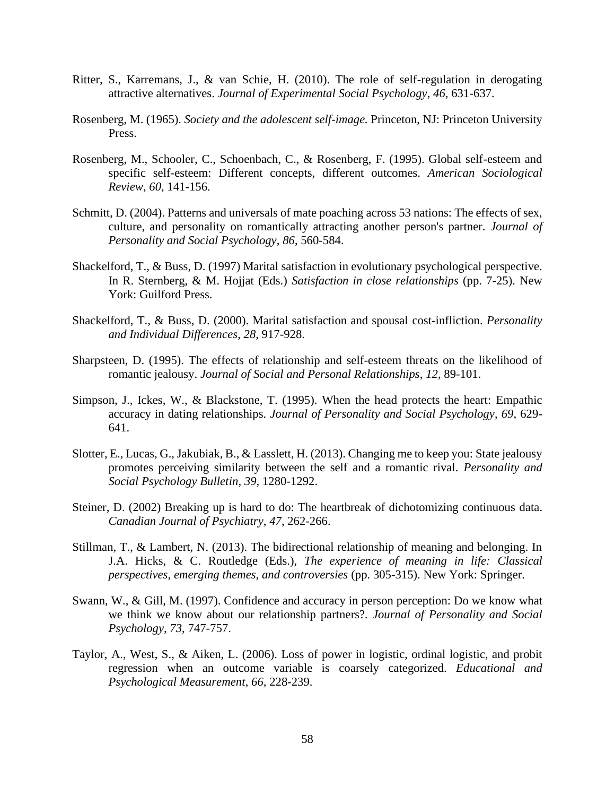- Ritter, S., Karremans, J., & van Schie, H. (2010). The role of self-regulation in derogating attractive alternatives. *Journal of Experimental Social Psychology*, *46*, 631-637.
- Rosenberg, M. (1965). *Society and the adolescent self-image.* Princeton, NJ: Princeton University Press.
- Rosenberg, M., Schooler, C., Schoenbach, C., & Rosenberg, F. (1995). Global self-esteem and specific self-esteem: Different concepts, different outcomes. *American Sociological Review*, *60*, 141-156.
- Schmitt, D. (2004). Patterns and universals of mate poaching across 53 nations: The effects of sex, culture, and personality on romantically attracting another person's partner. *Journal of Personality and Social Psychology*, *86*, 560-584.
- Shackelford, T., & Buss, D. (1997) Marital satisfaction in evolutionary psychological perspective. In R. Sternberg, & M. Hojjat (Eds.) *Satisfaction in close relationships* (pp. 7-25). New York: Guilford Press.
- Shackelford, T., & Buss, D. (2000). Marital satisfaction and spousal cost-infliction. *Personality and Individual Differences*, *28*, 917-928.
- Sharpsteen, D. (1995). The effects of relationship and self-esteem threats on the likelihood of romantic jealousy. *Journal of Social and Personal Relationships*, *12*, 89-101.
- Simpson, J., Ickes, W., & Blackstone, T. (1995). When the head protects the heart: Empathic accuracy in dating relationships. *Journal of Personality and Social Psychology*, *69*, 629- 641.
- Slotter, E., Lucas, G., Jakubiak, B., & Lasslett, H. (2013). Changing me to keep you: State jealousy promotes perceiving similarity between the self and a romantic rival. *Personality and Social Psychology Bulletin*, *39*, 1280-1292.
- Steiner, D. (2002) Breaking up is hard to do: The heartbreak of dichotomizing continuous data. *Canadian Journal of Psychiatry*, *47*, 262-266.
- Stillman, T., & Lambert, N. (2013). The bidirectional relationship of meaning and belonging. In J.A. Hicks, & C. Routledge (Eds.), *The experience of meaning in life: Classical perspectives, emerging themes, and controversies* (pp. 305-315). New York: Springer.
- Swann, W., & Gill, M. (1997). Confidence and accuracy in person perception: Do we know what we think we know about our relationship partners?. *Journal of Personality and Social Psychology*, *73*, 747-757.
- Taylor, A., West, S., & Aiken, L. (2006). Loss of power in logistic, ordinal logistic, and probit regression when an outcome variable is coarsely categorized. *Educational and Psychological Measurement*, *66*, 228-239.